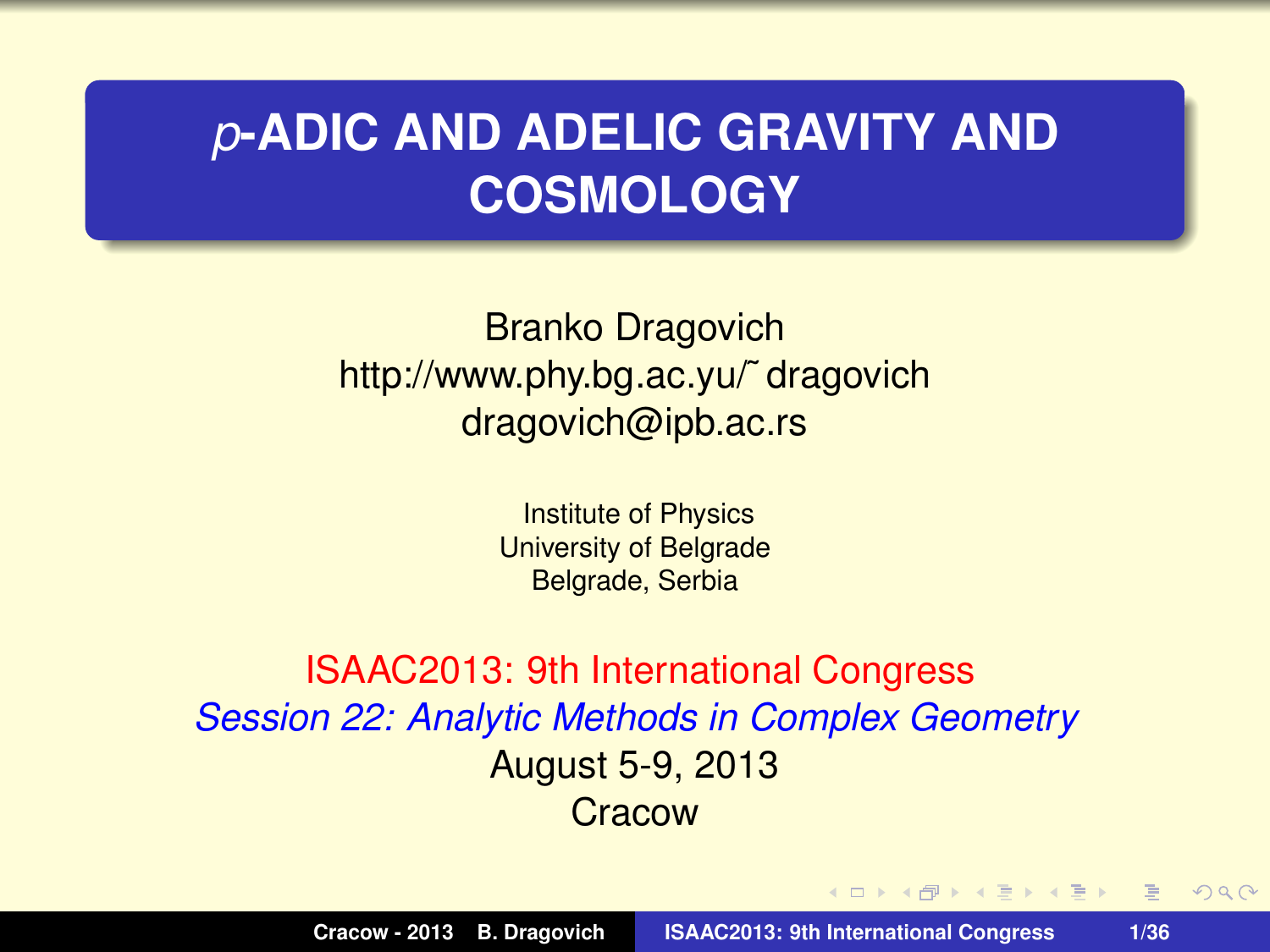## *p***-ADIC AND ADELIC GRAVITY AND COSMOLOGY**

Branko Dragovich http://www.phy.bg.ac.yu/˜ dragovich dragovich@ipb.ac.rs

> Institute of Physics University of Belgrade Belgrade, Serbia

ISAAC2013: 9th International Congress *Session 22: Analytic Methods in Complex Geometry* August 5-9, 2013 **Cracow** 

 $\mathbf{A} \oplus \mathbf{B}$  ,  $\mathbf{A} \oplus \mathbf{B}$  ,  $\mathbf{A} \oplus \mathbf{B}$ 

重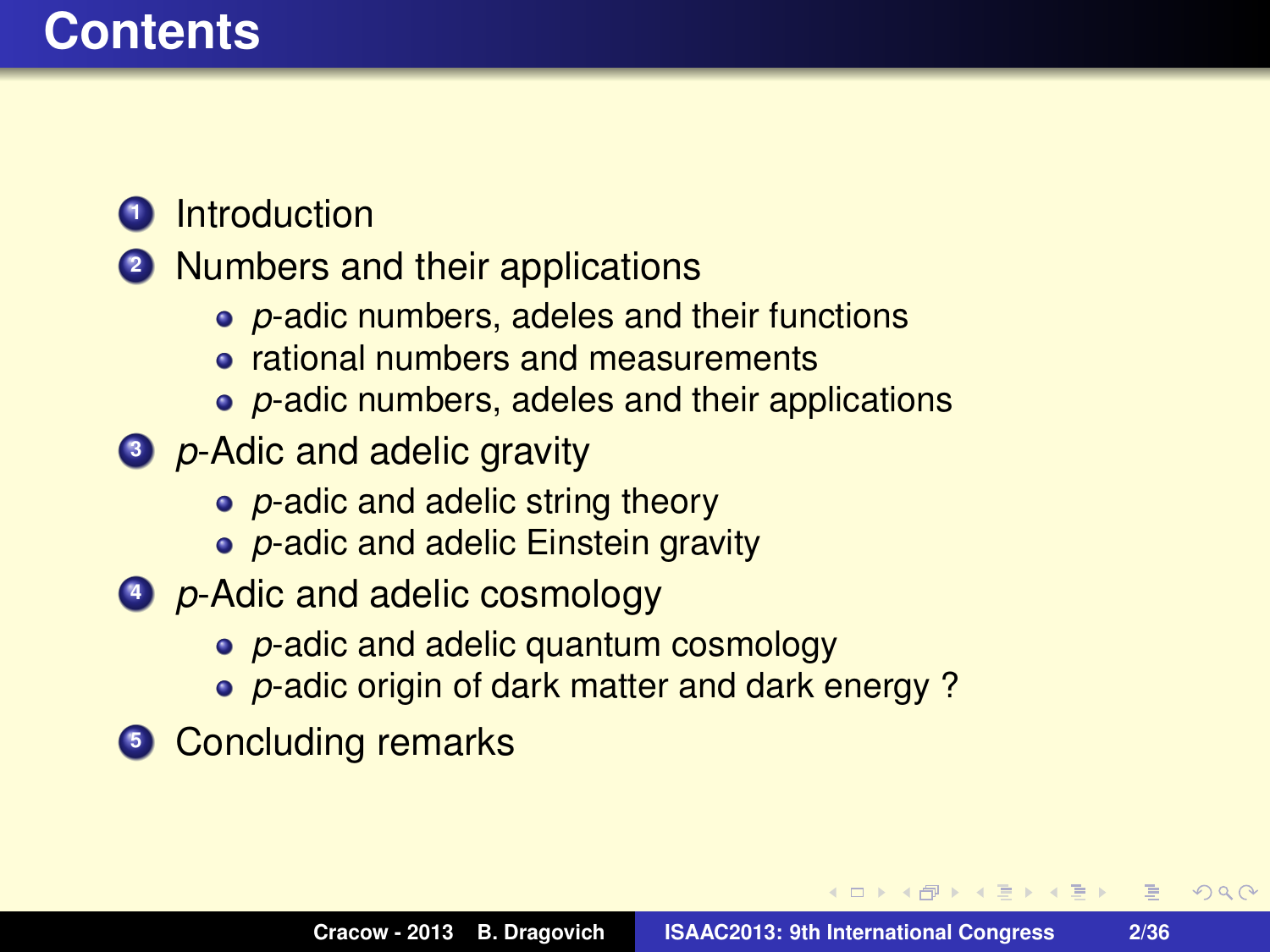### **Contents**

#### **1** Introduction

#### **<sup>2</sup>** Numbers and their applications

- *p*-adic numbers, adeles and their functions
- **•** rational numbers and measurements
- *p*-adic numbers, adeles and their applications
- **<sup>3</sup>** *p*-Adic and adelic gravity
	- *p*-adic and adelic string theory
	- *p*-adic and adelic Einstein gravity
- **<sup>4</sup>** *p*-Adic and adelic cosmology
	- *p*-adic and adelic quantum cosmology
	- *p*-adic origin of dark matter and dark energy ?
- **5** Concluding remarks

化重新化重新

画

 $2Q$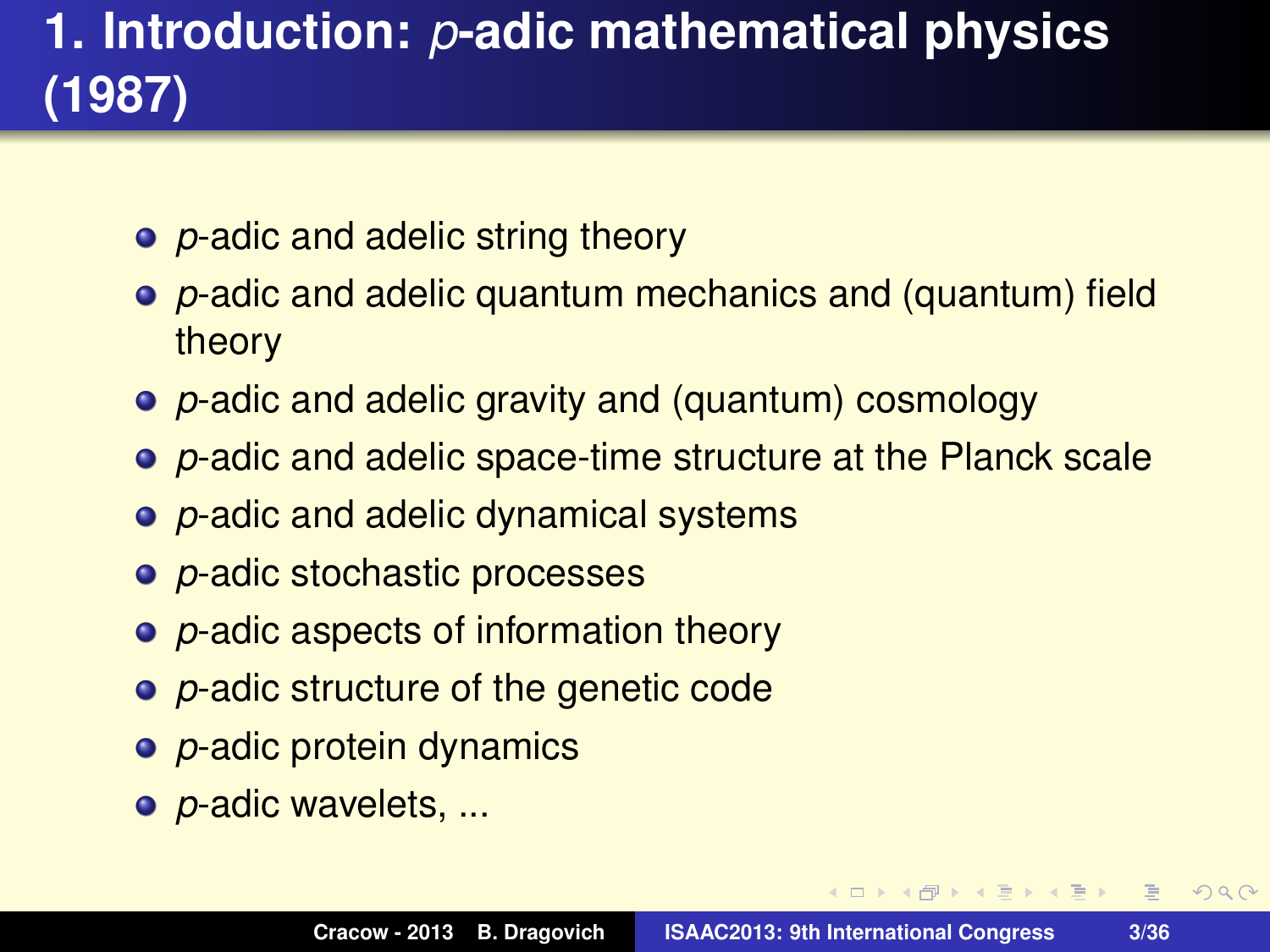# **1. Introduction:** *p***-adic mathematical physics (1987)**

- *p*-adic and adelic string theory
- *p*-adic and adelic quantum mechanics and (quantum) field theory
- *p*-adic and adelic gravity and (quantum) cosmology
- *p*-adic and adelic space-time structure at the Planck scale
- *p*-adic and adelic dynamical systems
- *p*-adic stochastic processes
- *p*-adic aspects of information theory
- *p*-adic structure of the genetic code
- *p*-adic protein dynamics
- *p*-adic wavelets, ...

**ADAM BAKER** 

 $\equiv$ 

 $2Q$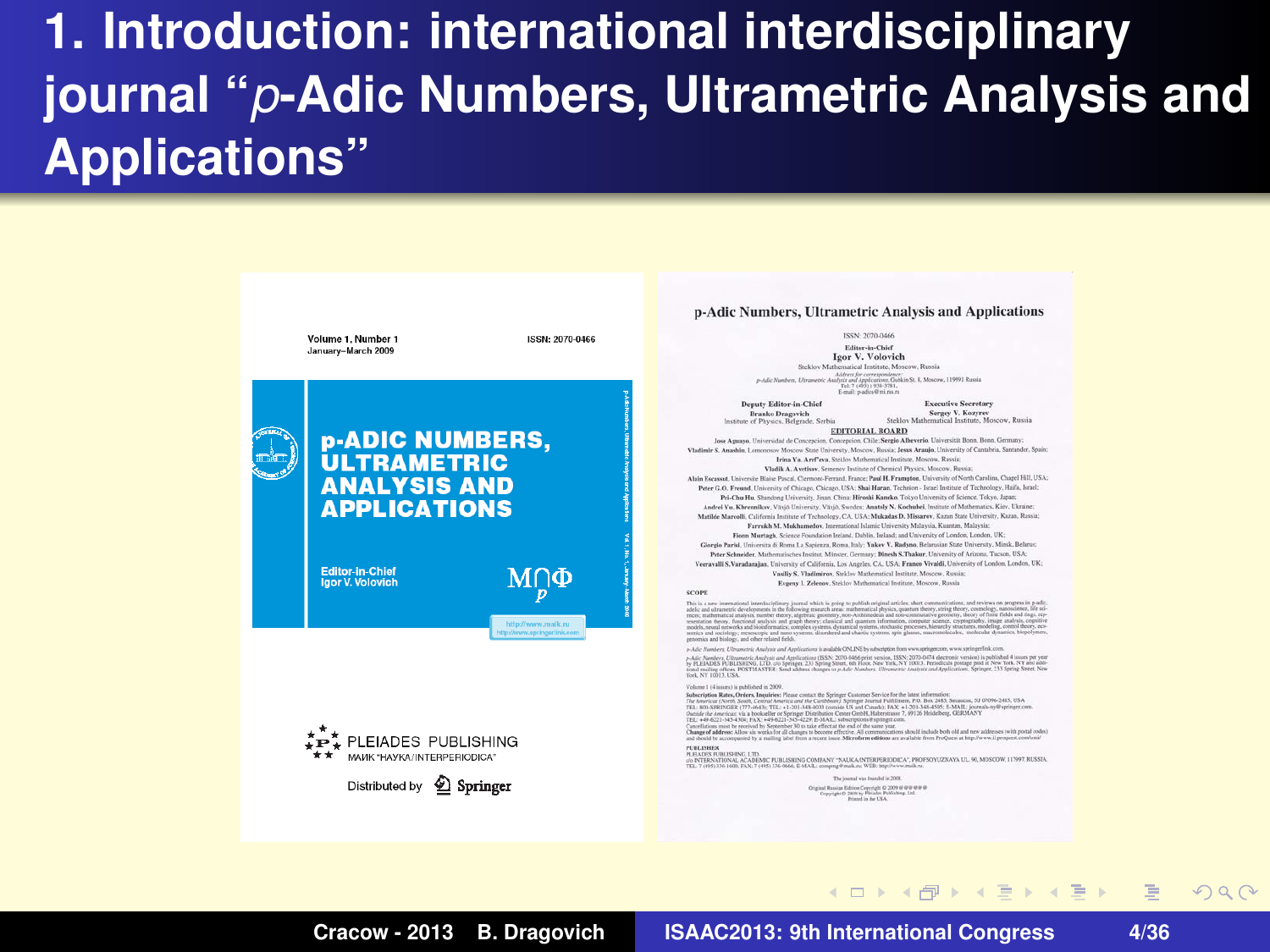# **1. Introduction: international interdisciplinary journal "***p***-Adic Numbers, Ultrametric Analysis and Applications"**

| Volume 1. Number 1<br>ISSN: 2070-0466<br>January-March 2009                                                     | ISSN: 2070-0466<br>Editor-Jo-Chief<br><b>Igor V. Volovich</b><br>Steklov Mathematical Institute, Moscow, Russia.<br>Address for communities of<br>avAdir Norshow, Ellmaretric Analysis and Applications, Gubicin St. R. Moscow, 119991 Russia.<br>Tel: 7 (493) 1958-5781.<br>E-mail: p-adics@mi.ray.ru<br><b>Executive Secretary</b><br>Deputy Editor-in-Chief<br>Sereey V. Kegypyy<br><b>Branks Dragovich</b><br>Steklov Mathematical Institute, Moscow, Russia.                                                                                                                                                                                                                                                                                                                                                                                                                                                                                                                                                                                                                                                                                                                                                                                                                                                                                                                                                                                                                                                                                                                                                                                                                                                                                                                                                                                                                                                                                                                                                                                                                                                                                                                   |
|-----------------------------------------------------------------------------------------------------------------|-------------------------------------------------------------------------------------------------------------------------------------------------------------------------------------------------------------------------------------------------------------------------------------------------------------------------------------------------------------------------------------------------------------------------------------------------------------------------------------------------------------------------------------------------------------------------------------------------------------------------------------------------------------------------------------------------------------------------------------------------------------------------------------------------------------------------------------------------------------------------------------------------------------------------------------------------------------------------------------------------------------------------------------------------------------------------------------------------------------------------------------------------------------------------------------------------------------------------------------------------------------------------------------------------------------------------------------------------------------------------------------------------------------------------------------------------------------------------------------------------------------------------------------------------------------------------------------------------------------------------------------------------------------------------------------------------------------------------------------------------------------------------------------------------------------------------------------------------------------------------------------------------------------------------------------------------------------------------------------------------------------------------------------------------------------------------------------------------------------------------------------------------------------------------------------|
|                                                                                                                 |                                                                                                                                                                                                                                                                                                                                                                                                                                                                                                                                                                                                                                                                                                                                                                                                                                                                                                                                                                                                                                                                                                                                                                                                                                                                                                                                                                                                                                                                                                                                                                                                                                                                                                                                                                                                                                                                                                                                                                                                                                                                                                                                                                                     |
|                                                                                                                 |                                                                                                                                                                                                                                                                                                                                                                                                                                                                                                                                                                                                                                                                                                                                                                                                                                                                                                                                                                                                                                                                                                                                                                                                                                                                                                                                                                                                                                                                                                                                                                                                                                                                                                                                                                                                                                                                                                                                                                                                                                                                                                                                                                                     |
| <b>p-ADIC NUMBERS,</b><br><b>ULTRAMETRIC</b><br><b>ANALYSIS AND</b><br><b>APPLICATIONS</b>                      | Institute of Physics, Belgrade, Serbia.<br><b>EDITORIAL BOARD</b><br>Jese Aguaya, Universidad de Concepcion, Concepcion, Chile; Sargio Albevario, Universität Bonn, Bonn, Germany;<br>Visibnir S. Anadda, Loncocoov Moscow State University, Moscow, Ressia. Jesus Aranjo, University of Cantabria, Santander, Spain:<br>Irina Va. Araf'aya Sokiny Mathematical Institute, Measure, Rapping<br>Vladik A. Avetiur, Senance Institute of Chemical Physics, Moserw, Ressia;<br>Alain Encasont, Universite Blaise Pascal, Clamont-Featast, France; Paul H. Frampton, University of North Carolina, Chapel Hill, USA.<br>Peter G.O. Freend, University of Chicago, Chicago, USA; Shai Haran, Technico: - Janel Institute of Technology, Haifa, Israel;<br>Pri-Cha Ha. Stundong University, Jimm. Ching; Hiroshi Kamdio, Tekyo University of Science, Tokyo, Japan<br>Andrei Yu, Khrennikov, Visco University, Visco, Sweden; Anatoly N. Knelpabel, Institute of Mothematics, Kiew, Ukraine;<br>Mathle Marcelli, California Institute of Technology, CA, USA; Makadas D. Minuter, Kazan State University, Kazan, Remin;<br>Farrakh M. Mokhamedov, International Islamic University Malaysia, Kuantan, Malaysia;<br>Flora Martagh, Science Foundation Ireland, Dublin, Ireland; and University of London, London, UK;<br>Giorgio Parlol, Università di Roma La Sapienza, Roma, Italy; Vakev V. Radyno, Belarusian State University, Minsk, Belarus;                                                                                                                                                                                                                                                                                                                                                                                                                                                                                                                                                                                                                                                                                                                                        |
| <b>Editor-in-Chief</b><br>ΜΠΦ<br>laor V. Volovich<br>SCOPE<br>http://www.goalk.na<br>https/www.apringerlink.com | Peter Schneider, Mathematisches Instinz, Müncar, Germany, Dinesh S.Thakar, University of Arizona, Tucson, USA;<br>Veeravalli S.Varadaradas, University of California, Los Angeles, CA, USA; France Vivaldi, University of London, London, UK:<br>Vasiliy S. Vladimirov, Stekley Mathematical Institute, Moscow, Ressist.<br>Evanny I, Zelenov, Steklov Mathematical Institute, Moscow, Romia<br>This is a new international interdisciplinary journal which is going to publish original articles, short communications, and reviews on progress in p-adic<br>addic and ultraments developments in the Editoring research press. mathematical phenics, quantum sheary, swing theory, enominately researchered life sel-<br>excer, mathematical analysis, number theory, algebraic geometry, non-Anihimedean and non-commutative generaty, theory of finite fields and rings, rep-<br>resentation theory, functional analysis and graph theory, classical and question information, energetary sciences, cryptography, image analysis, cognitive<br>models, neural networks and bioisformatics; complex systems, dynamical systems, stochastic processes, hisranity stractures, modeling, control theory, eco-<br>nonics and sociology; meancopic and nato systems, disordered and chaotic systems, spin glasses, macrometershes, medievator apparation, hisparymen,                                                                                                                                                                                                                                                                                                                                                                                                                                                                                                                                                                                                                                                                                                                                                                                                                 |
| PLEIADES PUBLISHING<br>MAHK "HAVKA/INTERPERIODICA"<br>Distributed by 2 Springer                                 | genvesics and biology, and other related fields.<br>a Adi-Analysi, Uleanesi Analysis and Andication is available OSLISE to administration were applicable to the con-<br>p-Adv Numbers, Cilvanotric Analysis and Application: (ISSN, 2070-0495 prior version, 1555); 2070-0474 electronic version) is published 4 issues per year<br>by PLEIADES PUBLISHING, LTD, ale-Springer, 233 Spring Street, 6th Floor, New York, NY 19813. Pulsedcale postage juick at New York, NY and add-<br>tional musing offices. POSTMASTER: Send address changes to p.-kdy Numbers. Climaters: Analysis and Applications. Springer, 233 Spring Street, Naw<br>Tel. NY 13011-15.8.<br>Violume 1 (4 issues) is published in 2009.<br>Subscription Rates, Orders, Impairies: Please contact the Springer Customer Sonice for the latest information:<br>The American (North, South, Central America and the Cordibion); Springer Journal Fulfillment, P.O. Box 2485, Secureon, NJ 07096-2485, USA.<br>TEL: 836-SPR/VOER (771-8643); TEL: +1-201-348-4053 (remide US and Consider FAX: +1-201-348-4505; E-MASL: journals sy/Pspringer.com.<br>Outside the American via a bookseller or Springer Distribution Center Großf, Habendrause 7, 69126 Holds/Berg, GERMANT<br>TEL: +P-6221-345-4304; FAX: +P-6221-345-4228; S-MAE; subscription/Paintent.com.<br>Cancellations must be received by September 30 to take effect at the end of the same year.<br>Change of addresse Allow six weeks for all changes to become effective. All communications should include both sild and new addresses (with postal codes)<br>and should be accompanied by a mading label from a second hour. Microflaws additions are available from ProQuest at http://www.if.proquest.com/unit/<br>PERLISHER<br>PLEASES PUBLISHING LTD.<br>410 INTERNATIONAL ACADEMIC PUBLISHING COMPANY "NAEKA/INTERPERIODICA", PROFSOYUZNAVA UL 90, MOSCOW, 117997, BUSIDA<br>TEL: T1201) 116, 1600 FAX: T1201) 336-2600; E-MAX: compress President PER, how Perent and re-<br>The instead was framded in 2008.<br>Original Busine Editors Copyright @ 2009 @ @ @ @ @ @<br>Copyright @ 2009 by Flexion Publishing, Ltd.<br>Primad in the UKA. |

**Cracow - 2013 B. Dragovich ISAAC2013: 9th International Congress 4/36**

 $QQQ$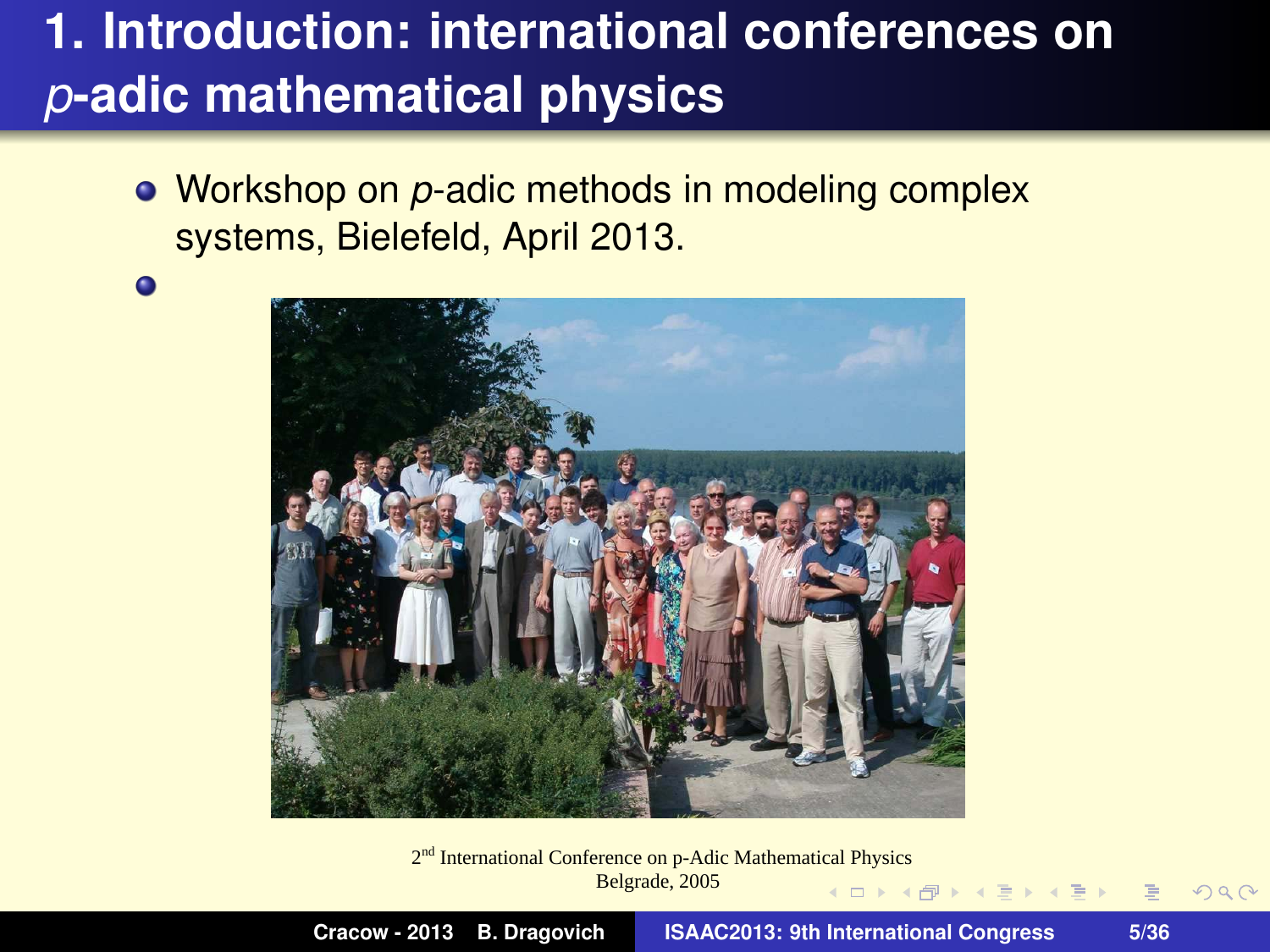# **1. Introduction: international conferences on** *p***-adic mathematical physics**

Workshop on *p*-adic methods in modeling complex systems, Bielefeld, April 2013.

 $\bullet$ 



2<sup>nd</sup> International Conference on p-Adic Mathematical Physics Belgrade, 2005

 $2Q$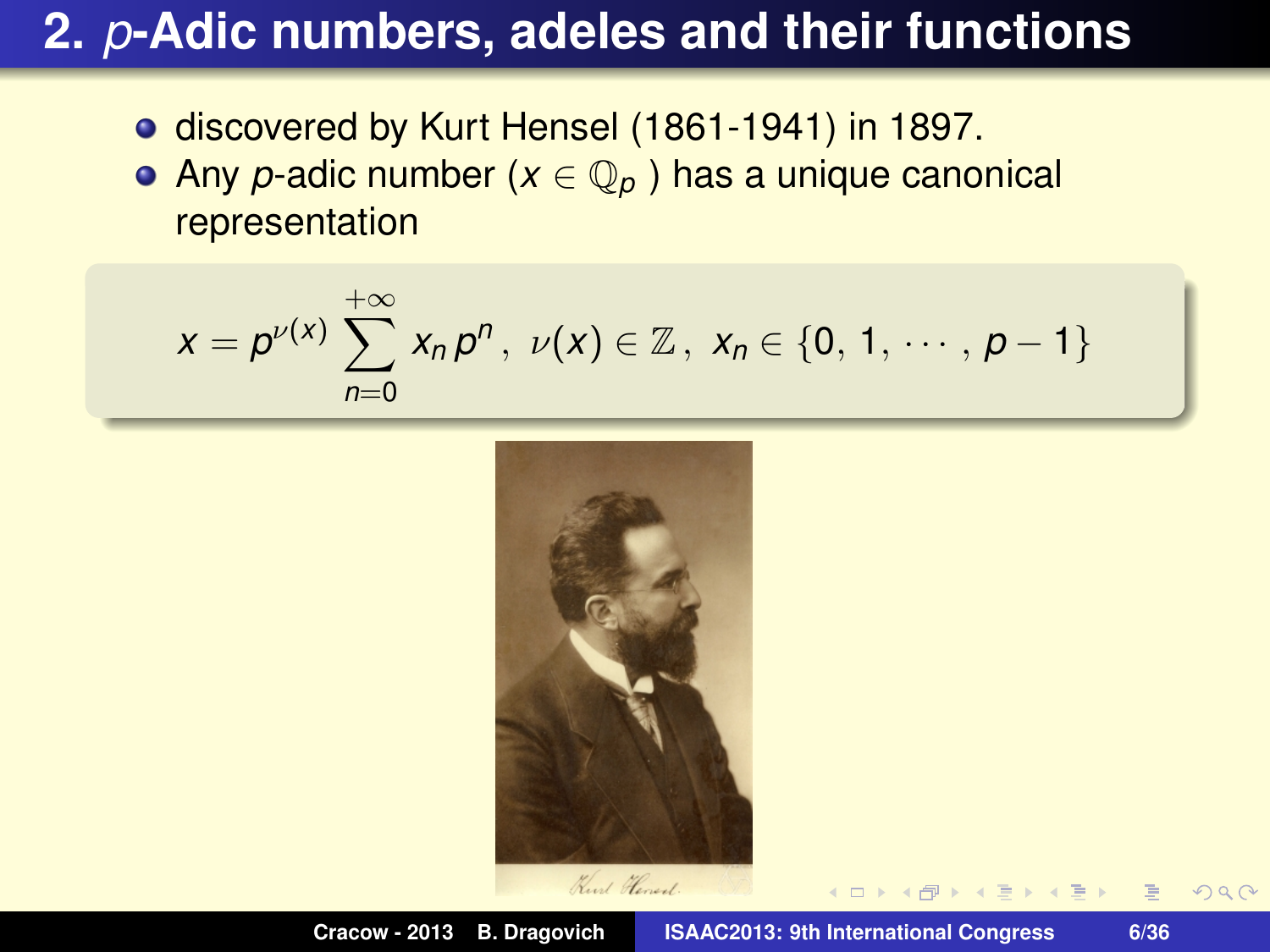- discovered by Kurt Hensel (1861-1941) in 1897.
- Any *p*-adic number (*x* ∈ Q*<sup>p</sup>* ) has a unique canonical representation

$$
x=p^{\nu(x)}\sum_{n=0}^{+\infty}x_n p^n, \ \nu(x)\in\mathbb{Z}, \ x_n\in\{0, 1, \cdots, p-1\}
$$

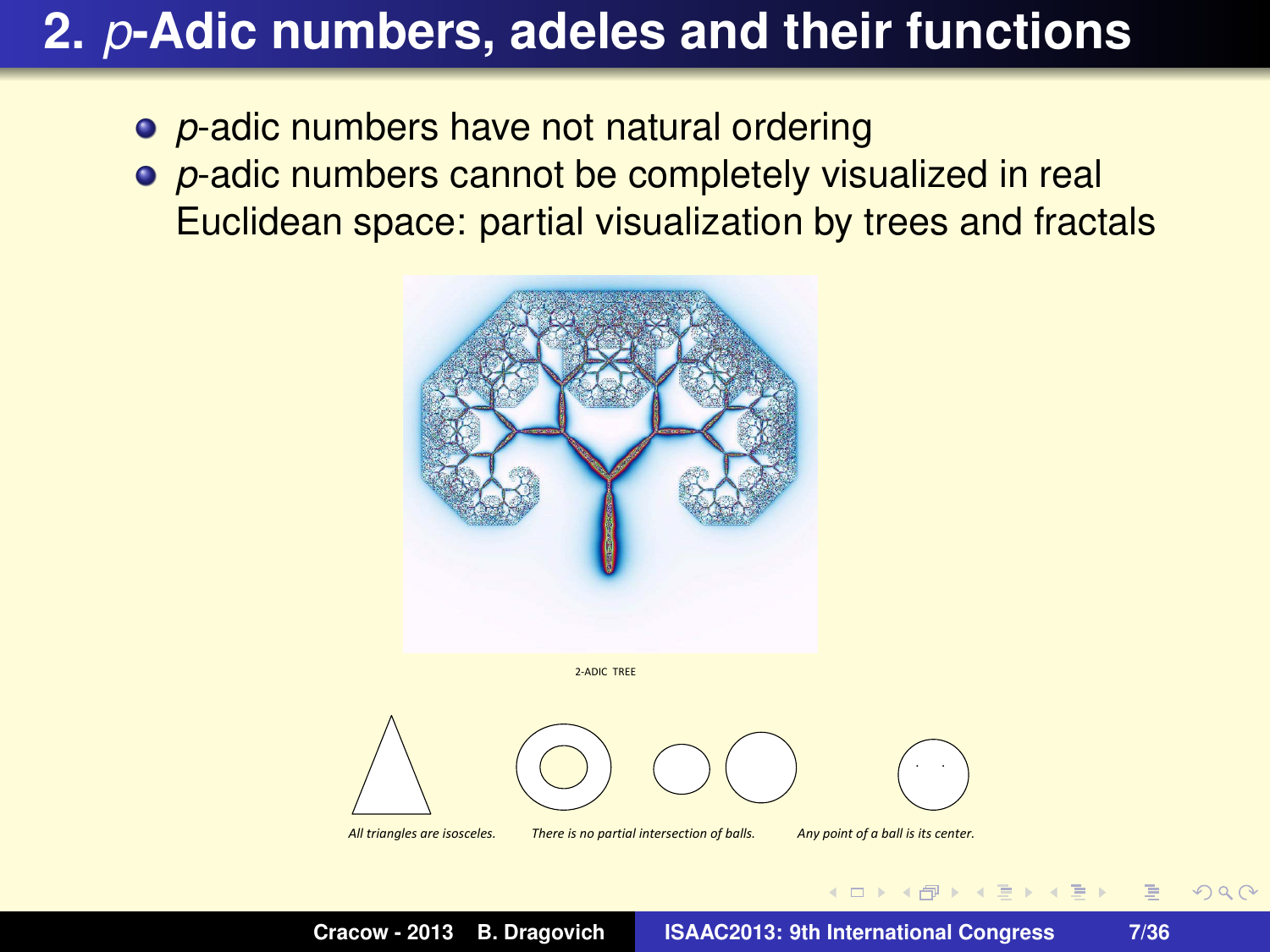- *p***-adic numbers have not natural ordering**
- *p*-adic numbers cannot be completely visualized in real Euclidean space: partial visualization by trees and fractals





All triangles are isosceles. There is no partial intersection of balls. Any point of a ball is its center.

**Cracow - 2013 B. Dragovich ISAAC2013: 9th International Congress 7/36**

 $\triangleright$   $\rightarrow$   $\exists$   $\triangleright$   $\rightarrow$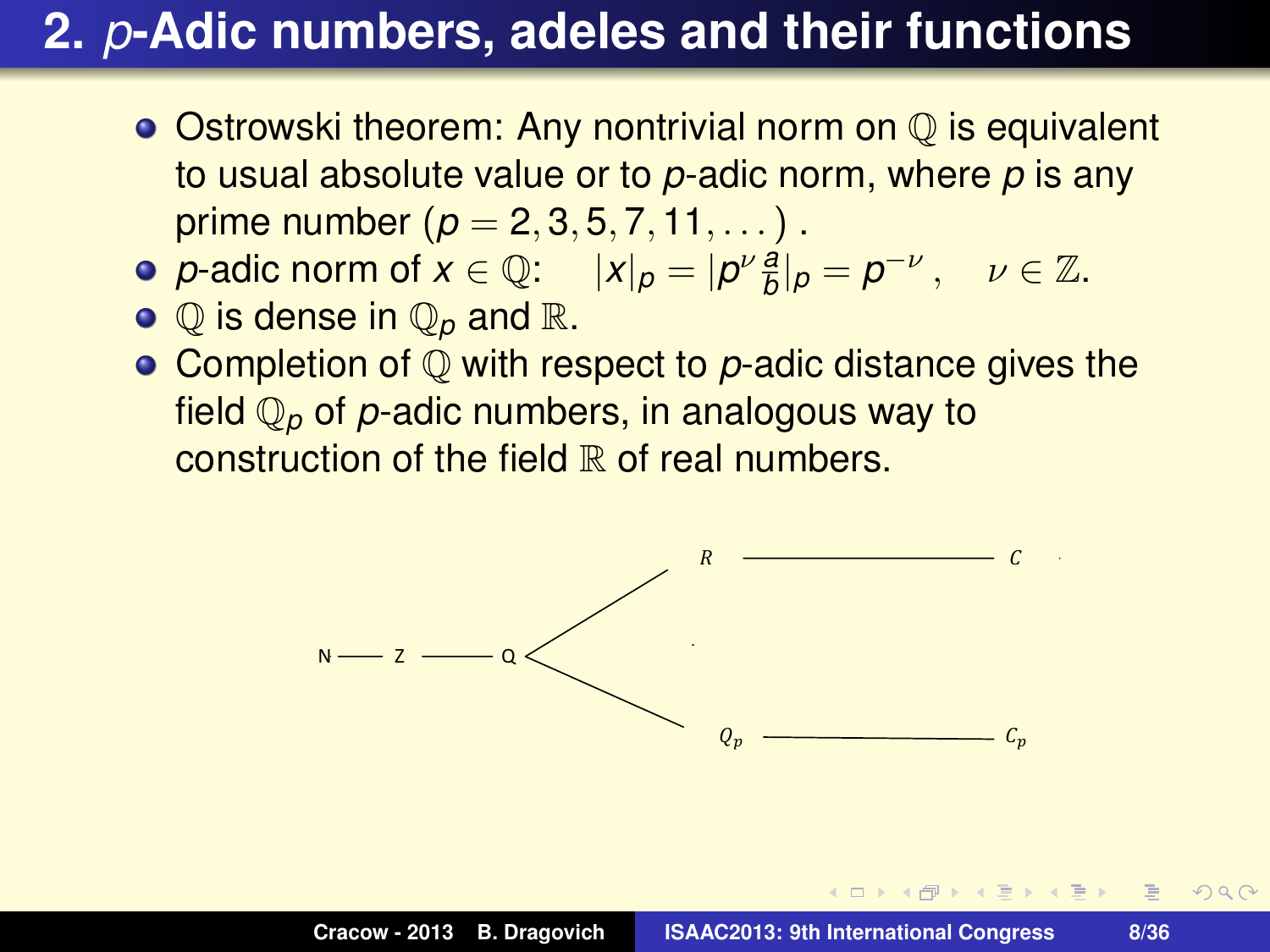- $\bullet$  Ostrowski theorem: Any nontrivial norm on  $\circledcirc$  is equivalent to usual absolute value or to *p*-adic norm, where *p* is any prime number  $(p = 2, 3, 5, 7, 11, ...)$ .
- *p*-adic norm of  $x \in \mathbb{Q}$ :  $|x|_p = |p^{\nu} \frac{a}{b}|_p = p^{-\nu}$ ,  $\nu \in \mathbb{Z}$ .
- $\bullet$  Q is dense in  $\mathbb{Q}_p$  and  $\mathbb{R}$ .
- **Completion of Q with respect to p-adic distance gives the** field Q*<sup>p</sup>* of *p*-adic numbers, in analogous way to construction of the field  $\mathbb R$  of real numbers.



*日* ▶ ( 호 ) ( 호 ) ( 호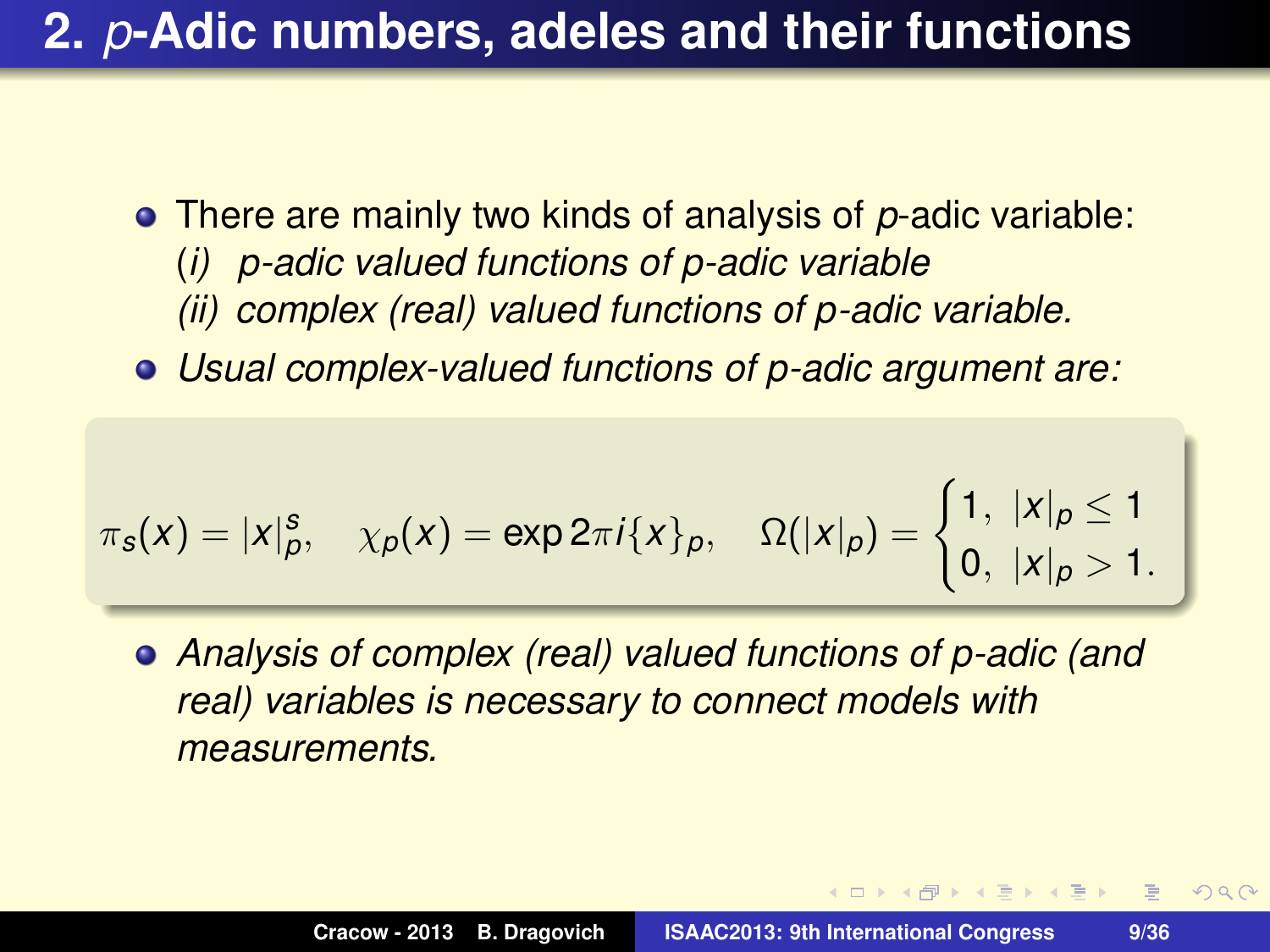- There are mainly two kinds of analysis of *p*-adic variable: (*i) p-adic valued functions of p-adic variable (ii) complex (real) valued functions of p-adic variable.*
- *Usual complex-valued functions of p-adic argument are:*

$$
\pi_{s}(x) = |x|_{p}^{s}, \quad \chi_{p}(x) = \exp 2\pi i \{x\}_{p}, \quad \Omega(|x|_{p}) = \begin{cases} 1, & |x|_{p} \leq 1 \\ 0, & |x|_{p} > 1. \end{cases}
$$

*Analysis of complex (real) valued functions of p-adic (and real) variables is necessary to connect models with measurements.*

 $\mathbf{A} \in \mathbb{R}$  ,  $\mathbf{A} \in \mathbb{R}$  ,  $\mathbf{A} \in \mathbb{R}$ 

画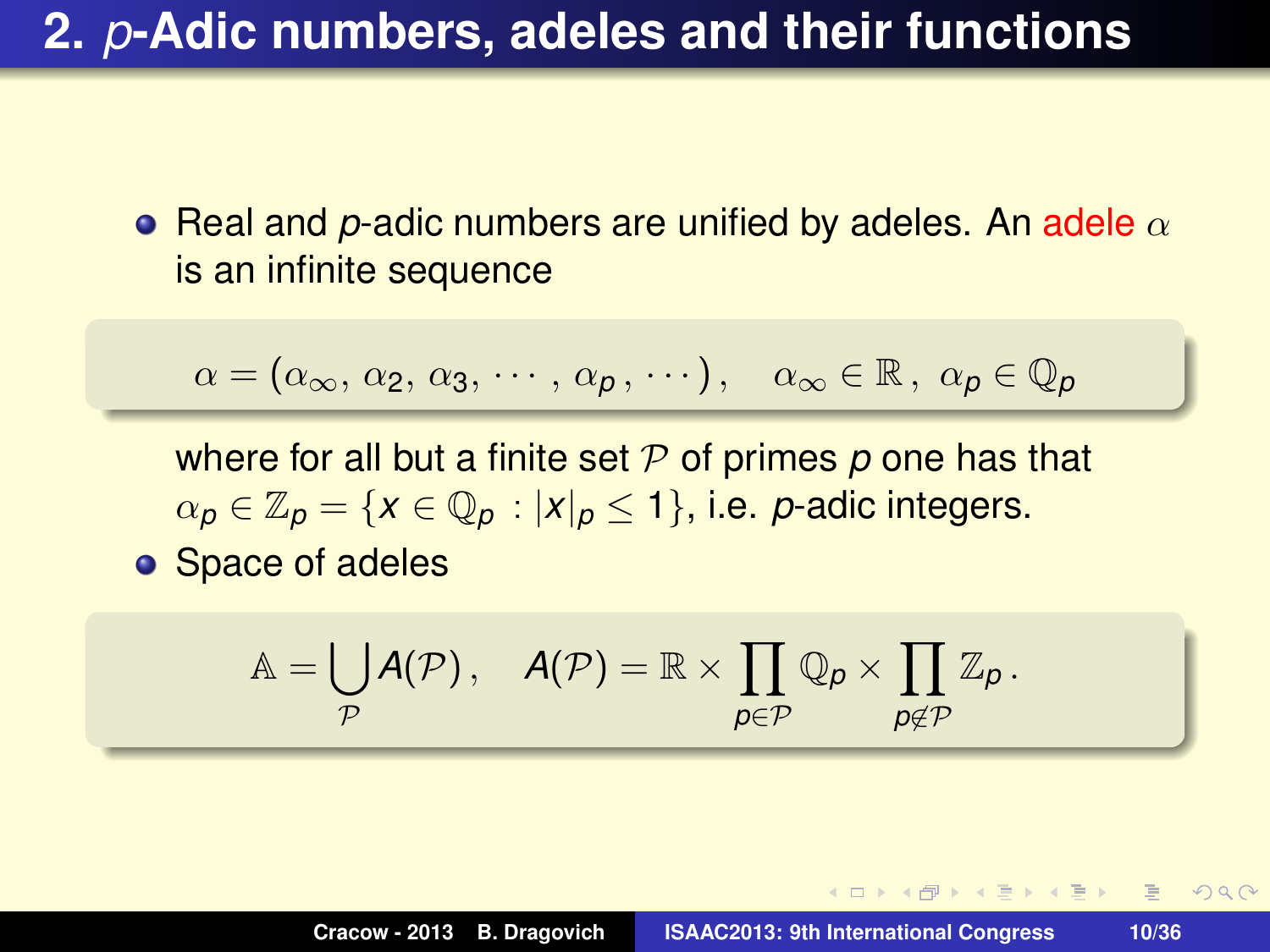**•** Real and *p*-adic numbers are unified by adeles. An adele  $\alpha$ is an infinite sequence

$$
\alpha = (\alpha_{\infty}, \, \alpha_2, \, \alpha_3, \, \cdots, \, \alpha_p, \, \cdots), \quad \alpha_{\infty} \in \mathbb{R}, \, \alpha_p \in \mathbb{Q}_p
$$

where for all but a finite set P of primes p one has that  $\alpha_p \in \mathbb{Z}_p = \{x \in \mathbb{Q}_p : |x|_p \leq 1\}$ , i.e. *p*-adic integers.

**o** Space of adeles

$$
\mathbb{A} = \bigcup_{\mathcal{P}} \mathcal{A}(\mathcal{P})\,,\quad \mathcal{A}(\mathcal{P}) = \mathbb{R}\times \prod_{\boldsymbol{\rho}\in \mathcal{P}} \mathbb{Q}_{\boldsymbol{\rho}}\times \prod_{\boldsymbol{\rho}\notin \mathcal{P}} \mathbb{Z}_{\boldsymbol{\rho}}\,.
$$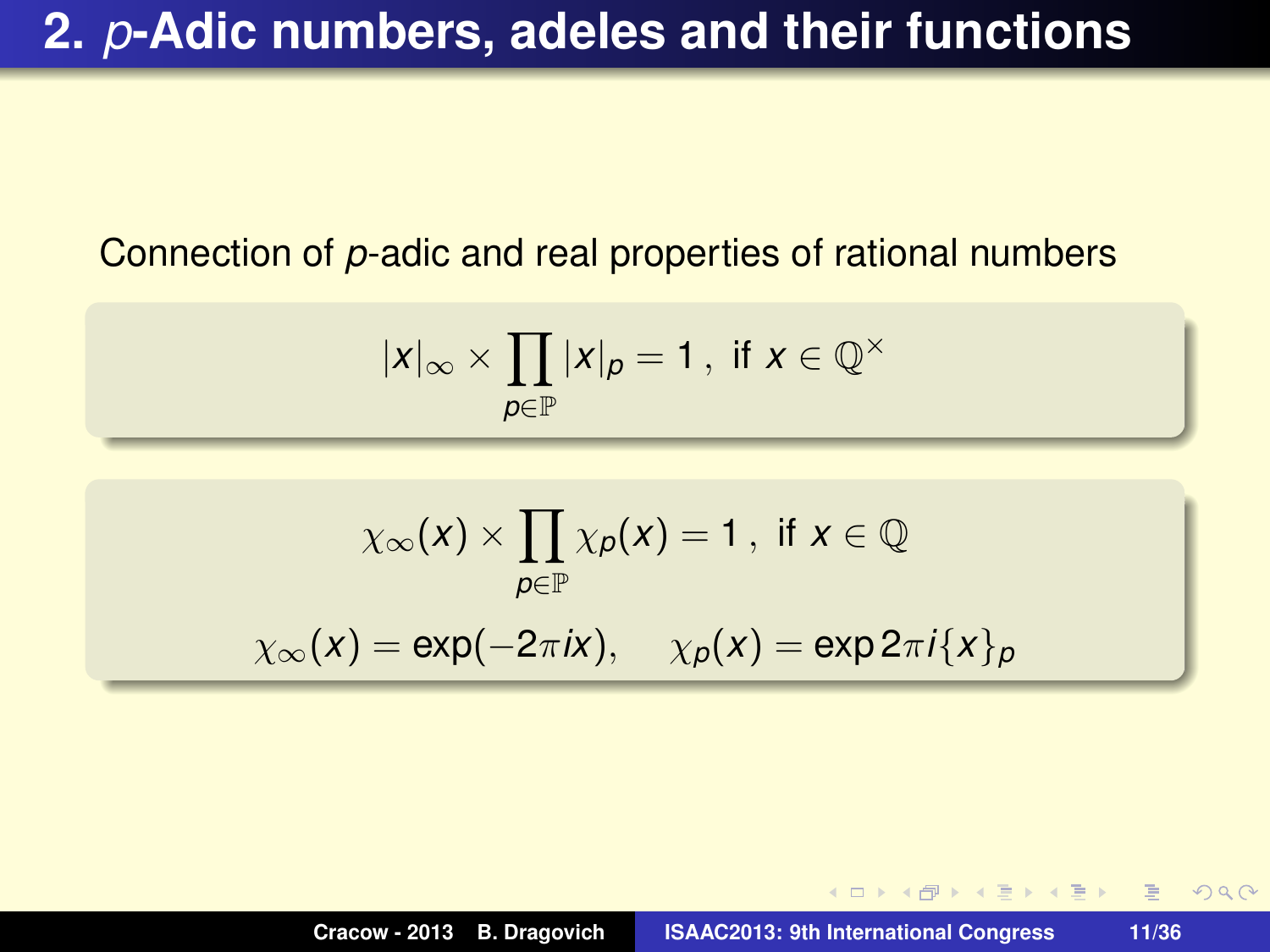#### Connection of *p*-adic and real properties of rational numbers

$$
|x|_{\infty} \times \prod_{p \in \mathbb{P}} |x|_{p} = 1, \text{ if } x \in \mathbb{Q}^{\times}
$$

$$
\chi_{\infty}(x) \times \prod_{p \in \mathbb{P}} \chi_p(x) = 1, \text{ if } x \in \mathbb{Q}
$$

$$
\chi_{\infty}(x) = \exp(-2\pi ix), \quad \chi_p(x) = \exp 2\pi i \{x\}_p
$$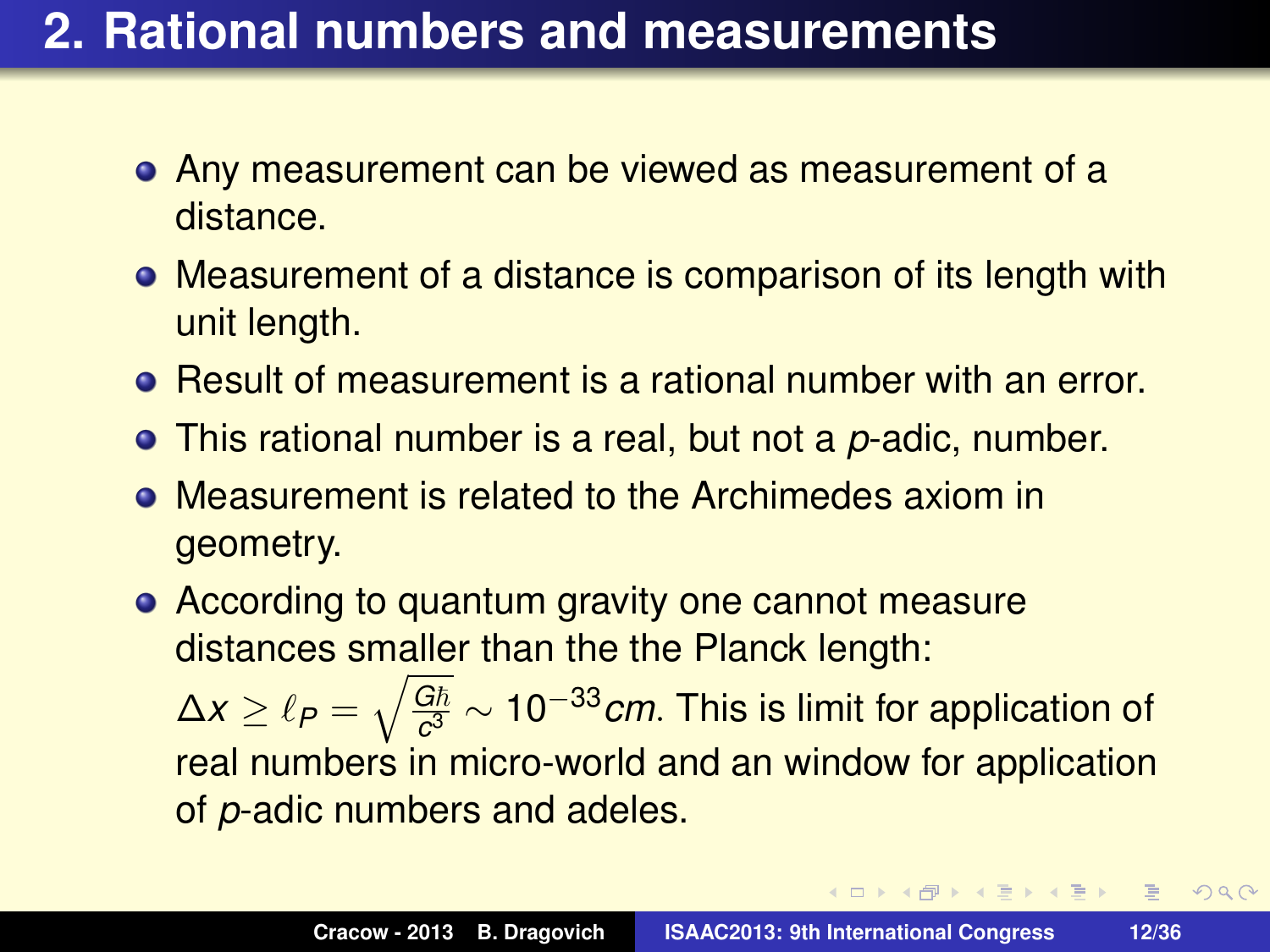### **2. Rational numbers and measurements**

- Any measurement can be viewed as measurement of a distance.
- Measurement of a distance is comparison of its length with unit length.
- Result of measurement is a rational number with an error.
- This rational number is a real, but not a *p*-adic, number.
- Measurement is related to the Archimedes axiom in geometry.
- According to quantum gravity one cannot measure distances smaller than the the Planck length:

 $\Delta x \geq \ell_P = \sqrt{\frac{G\hbar}{c^3}}$ *c* <sup>3</sup> ∼ 10−33*cm*. This is limit for application of real numbers in micro-world and an window for application of *p*-adic numbers and adeles.

K 御 > K 重 > K 重 > →

 $E$   $\Omega$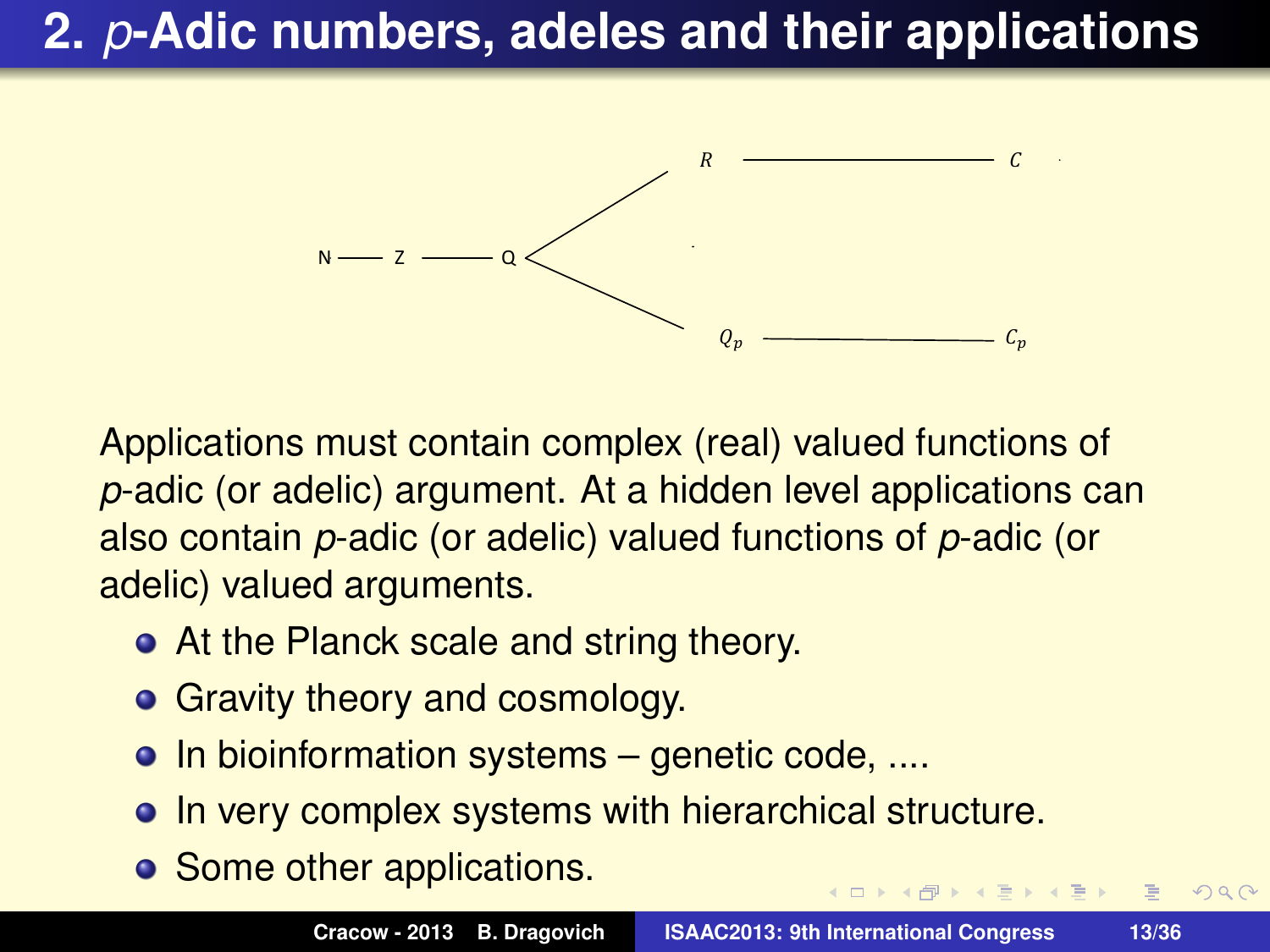

Applications must contain complex (real) valued functions of *p*-adic (or adelic) argument. At a hidden level applications can also contain *p*-adic (or adelic) valued functions of *p*-adic (or adelic) valued arguments.

- At the Planck scale and string theory.
- Gravity theory and cosmology.
- $\bullet$  In bioinformation systems genetic code, ....
- In very complex systems with hierarchical structure.
- Some other applications.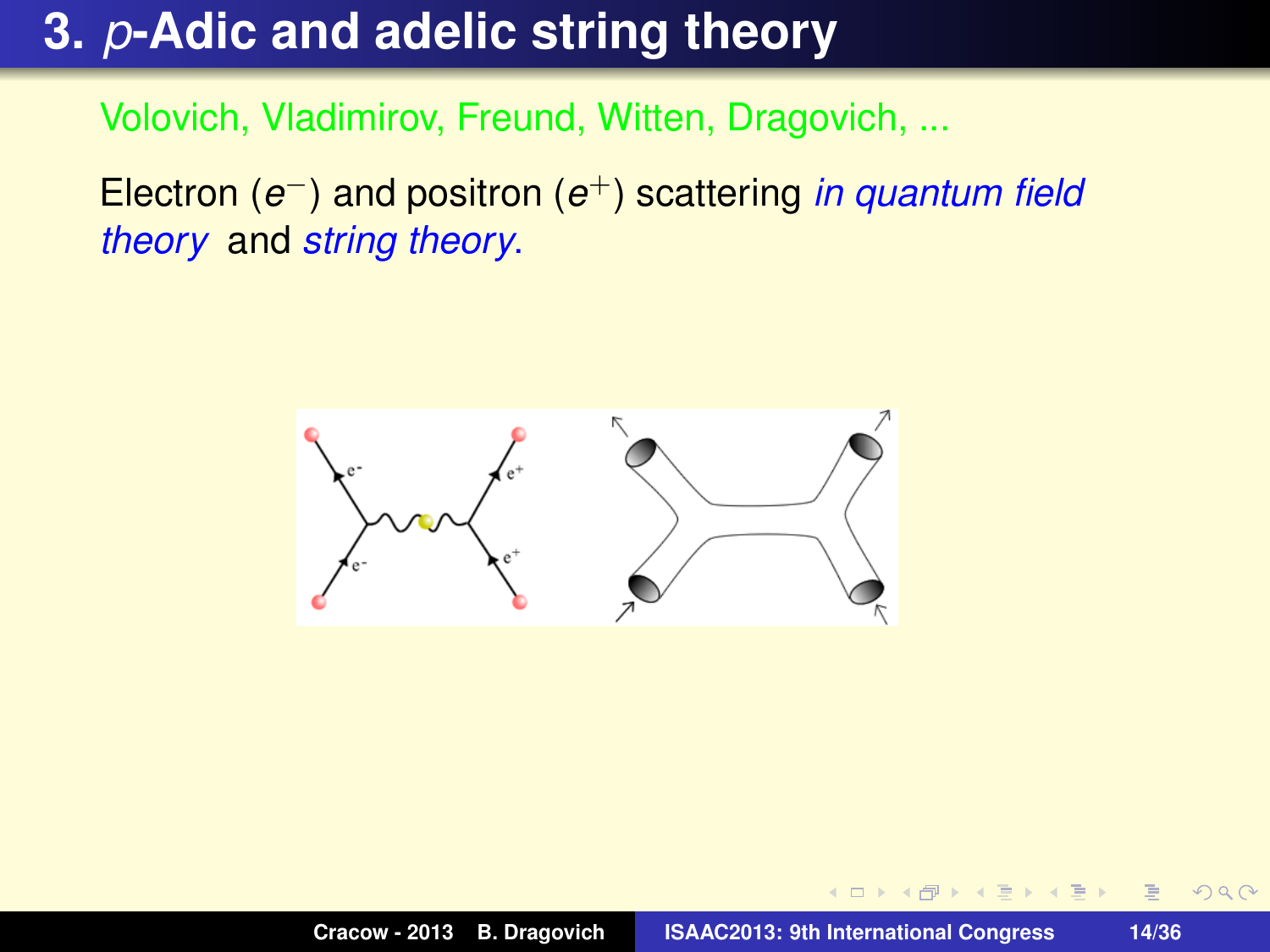## **3.** *p***-Adic and adelic string theory**

Volovich, Vladimirov, Freund, Witten, Dragovich, ...

Electron (*e* <sup>−</sup>) and positron (*e* <sup>+</sup>) scattering *in quantum field theory* and *string theory*.

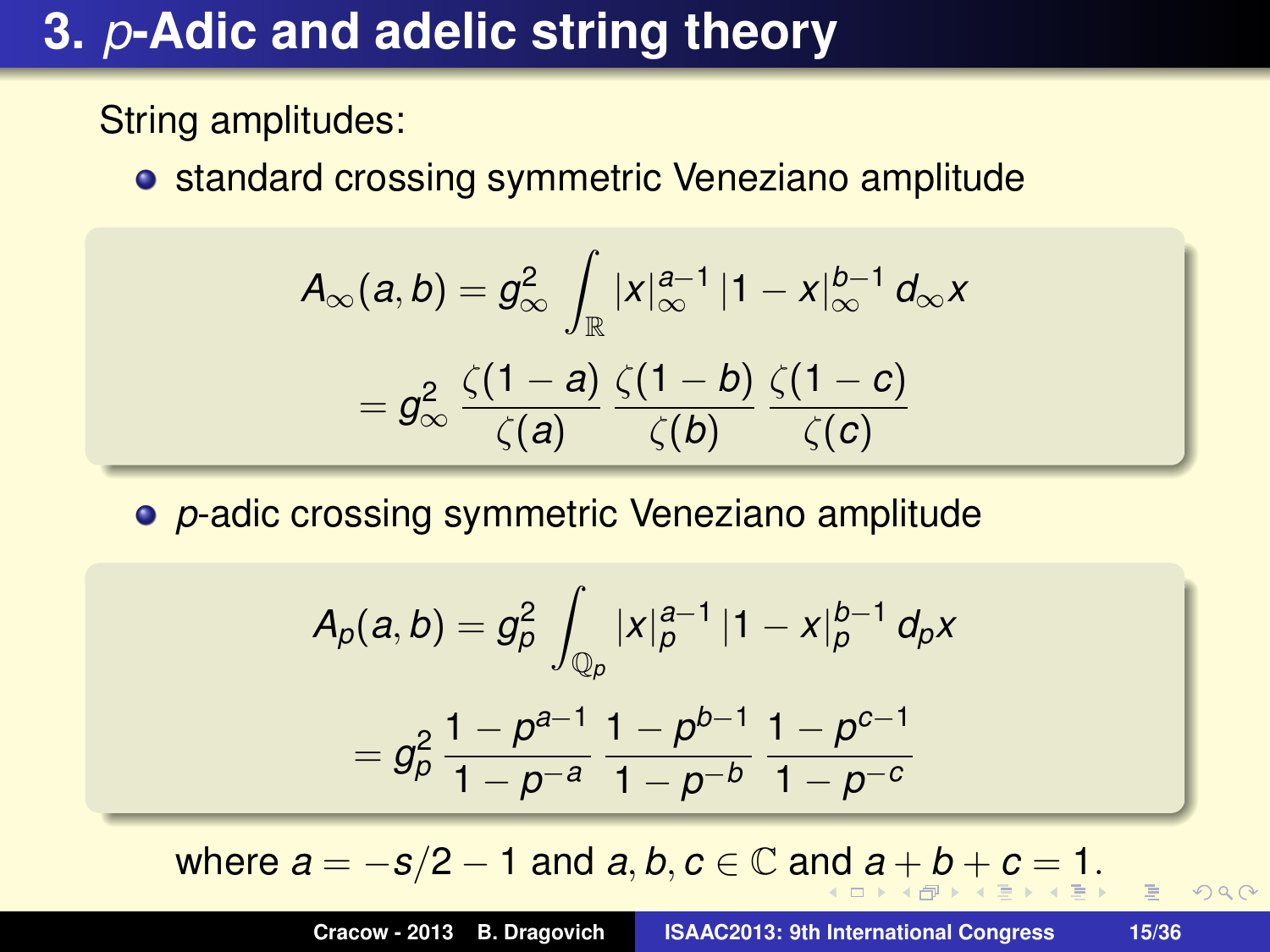## **3.** *p***-Adic and adelic string theory**

String amplitudes:

**• standard crossing symmetric Veneziano amplitude** 

$$
A_{\infty}(a, b) = g_{\infty}^2 \int_{\mathbb{R}} |x|_{\infty}^{a-1} |1 - x|_{\infty}^{b-1} d_{\infty} x
$$

$$
= g_{\infty}^2 \frac{\zeta(1-a)}{\zeta(a)} \frac{\zeta(1-b)}{\zeta(b)} \frac{\zeta(1-c)}{\zeta(c)}
$$

*p*-adic crossing symmetric Veneziano amplitude

$$
A_{p}(a,b) = g_{p}^{2} \int_{\mathbb{Q}_{p}} |x|_{p}^{a-1} |1-x|_{p}^{b-1} d_{p}x
$$
  
=  $g_{p}^{2} \frac{1-p^{a-1}}{1-p^{-a}} \frac{1-p^{b-1}}{1-p^{-b}} \frac{1-p^{c-1}}{1-p^{-c}}$ 

where  $a = -s/2 - 1$  and  $a, b, c \in \mathbb{C}$  and  $a + b + c = 1$ .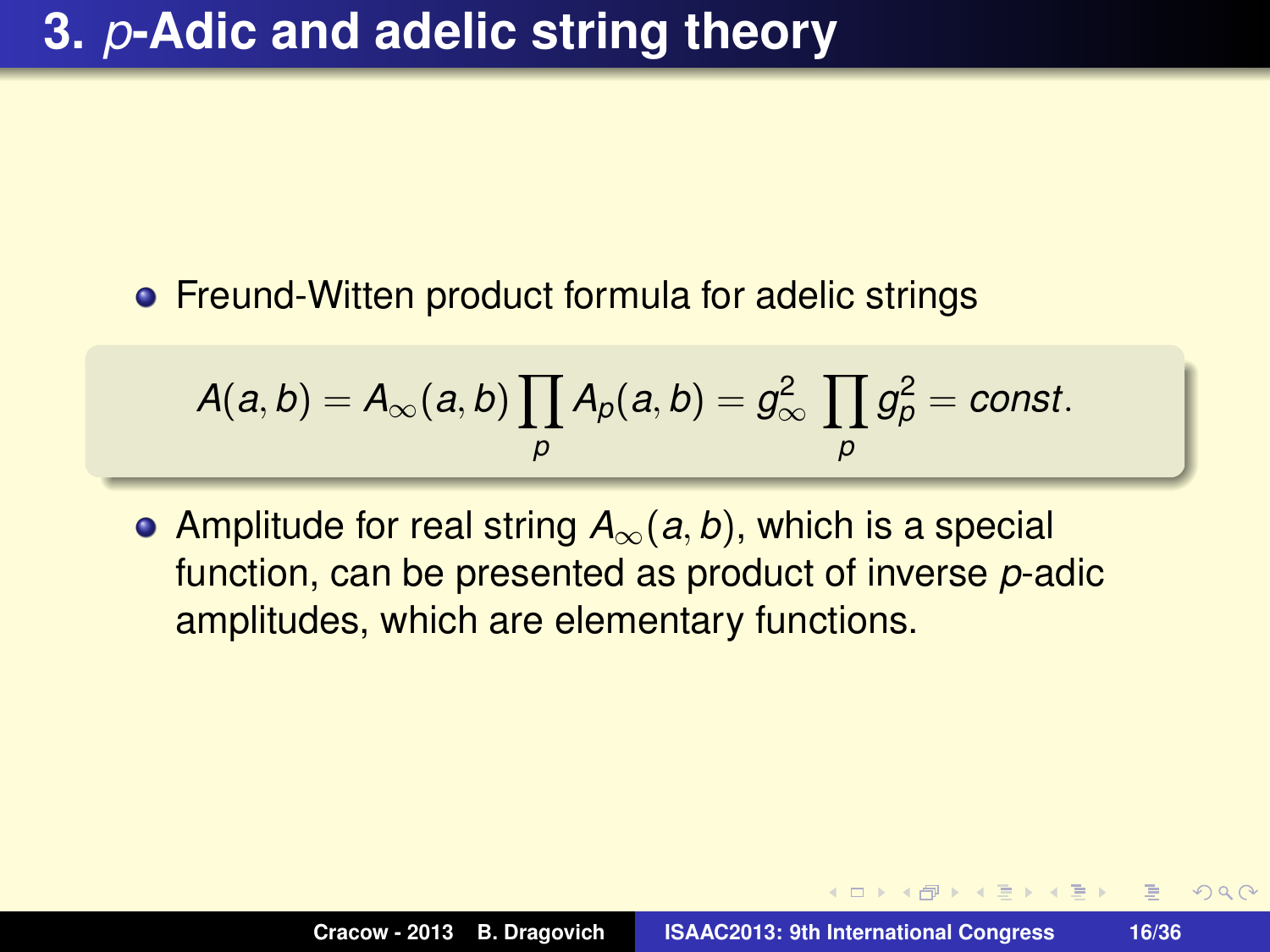#### **• Freund-Witten product formula for adelic strings**

$$
A(a,b)=A_{\infty}(a,b)\prod_{p}A_{p}(a,b)=g_{\infty}^{2}\prod_{p}g_{p}^{2}=const.
$$

Amplitude for real string *A*∞(*a*, *b*), which is a special function, can be presented as product of inverse *p*-adic amplitudes, which are elementary functions.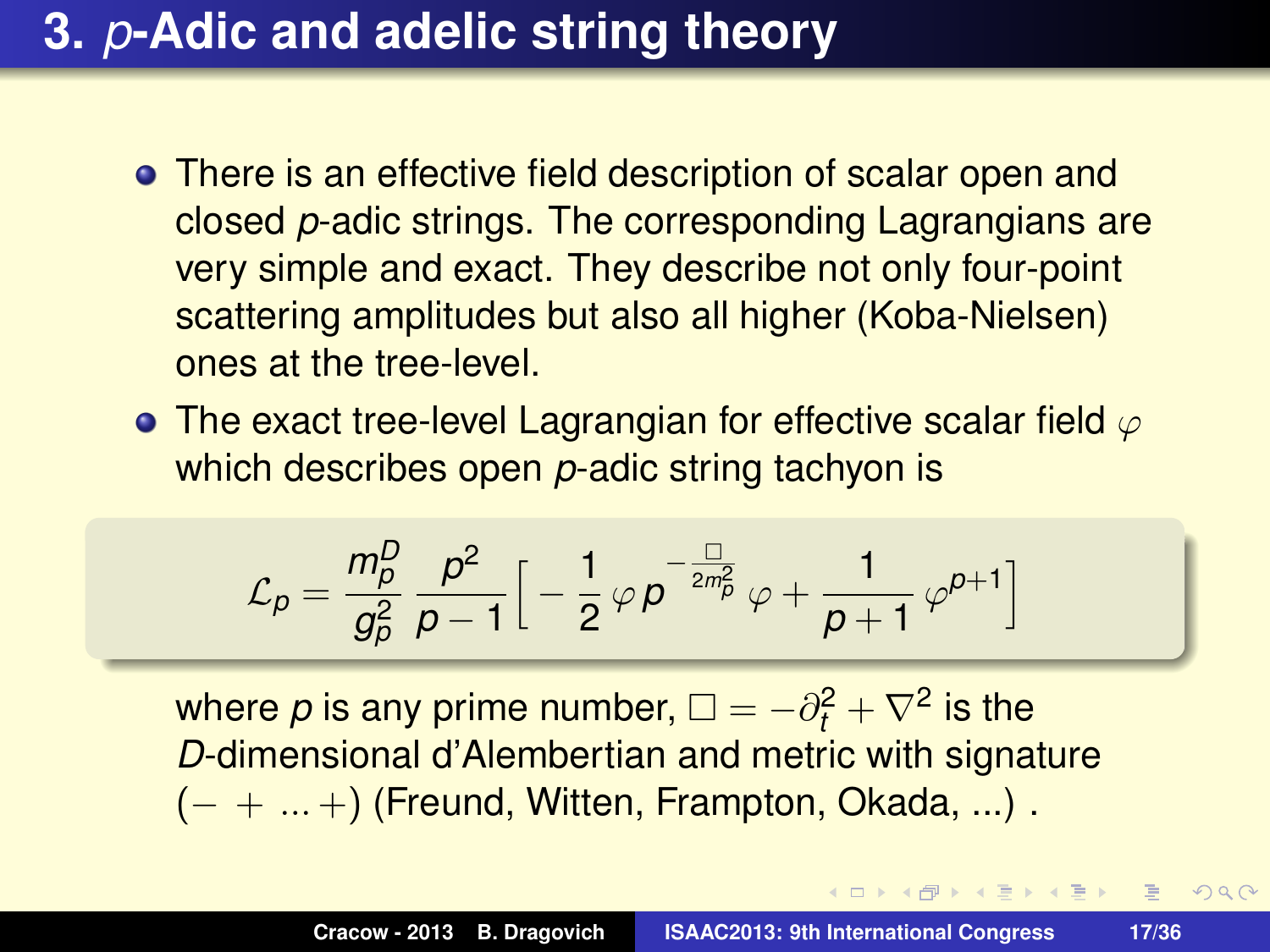## **3.** *p***-Adic and adelic string theory**

- There is an effective field description of scalar open and closed *p*-adic strings. The corresponding Lagrangians are very simple and exact. They describe not only four-point scattering amplitudes but also all higher (Koba-Nielsen) ones at the tree-level.
- The exact tree-level Lagrangian for effective scalar field  $\varphi$ which describes open *p*-adic string tachyon is

$$
\mathcal{L}_p = \frac{m_p^D}{g_p^2} \frac{p^2}{p-1} \Big[ -\frac{1}{2} \varphi \, p^{-\frac{\Box}{2m_p^2}} \, \varphi + \frac{1}{p+1} \, \varphi^{p+1} \Big]
$$

where  $\rho$  is any prime number,  $\Box = -\partial_t^2 + \nabla^2$  is the *D*-dimensional d'Alembertian and metric with signature  $(- + ... +)$  (Freund, Witten, Frampton, Okada, ...).

 $\overline{AB}$   $\rightarrow$   $\overline{B}$   $\rightarrow$   $\overline{B}$   $\rightarrow$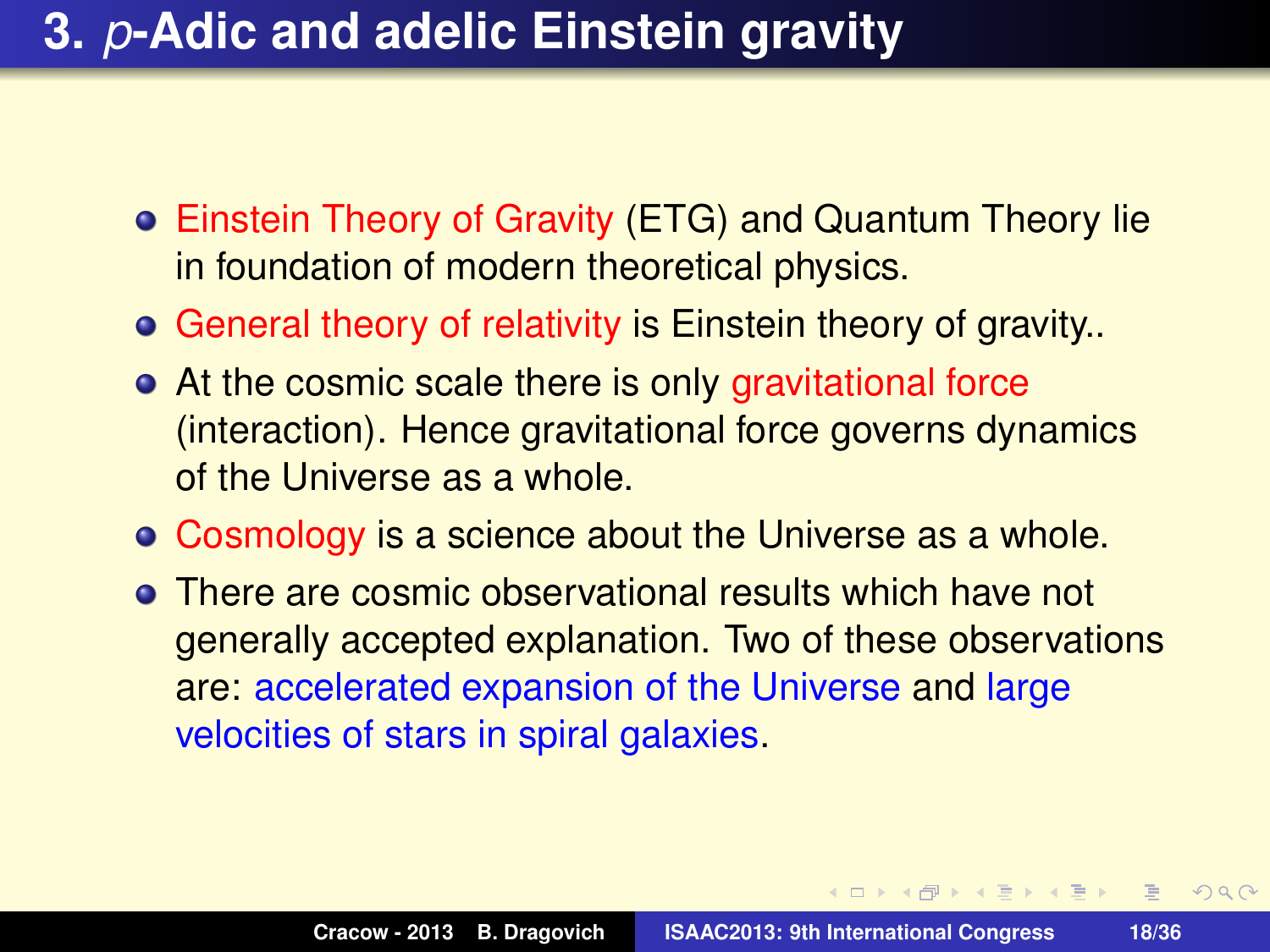- Einstein Theory of Gravity (ETG) and Quantum Theory lie in foundation of modern theoretical physics.
- **General theory of relativity is Einstein theory of gravity..**
- At the cosmic scale there is only gravitational force (interaction). Hence gravitational force governs dynamics of the Universe as a whole.
- Cosmology is a science about the Universe as a whole.
- There are cosmic observational results which have not generally accepted explanation. Two of these observations are: accelerated expansion of the Universe and large velocities of stars in spiral galaxies.

 $\mathbf{A} \oplus \mathbf{B}$   $\mathbf{A} \oplus \mathbf{B}$   $\mathbf{A} \oplus \mathbf{B}$ 

 $2QQ$ E.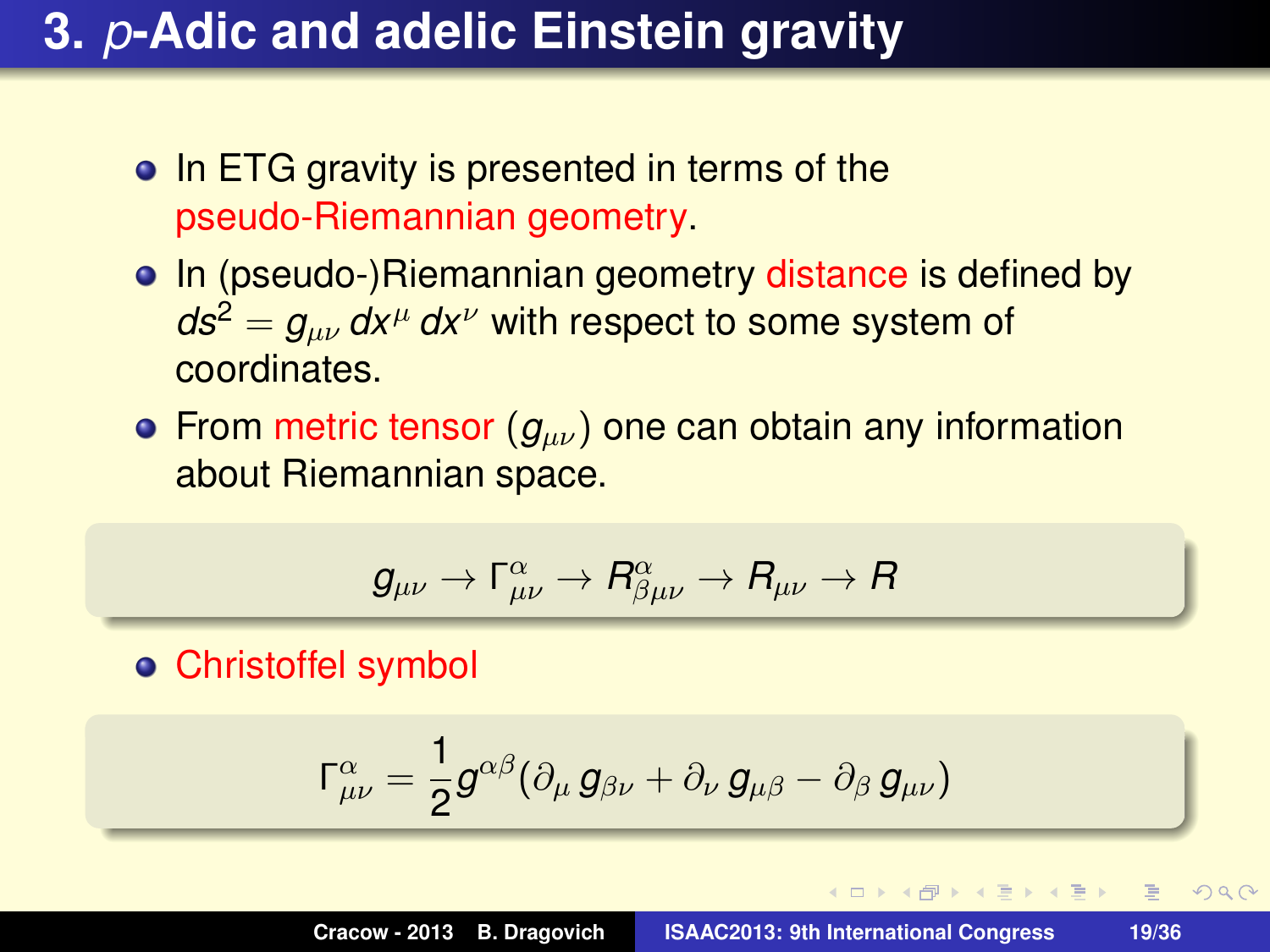- In ETG gravity is presented in terms of the pseudo-Riemannian geometry.
- In (pseudo-)Riemannian geometry distance is defined by  $ds^2 = g_{\mu\nu} dx^{\mu} dx^{\nu}$  with respect to some system of coordinates.
- **•** From metric tensor  $(g_{\mu\nu})$  one can obtain any information about Riemannian space.

$$
g_{\mu\nu}\rightarrow\Gamma_{\mu\nu}^{\alpha}\rightarrow R_{\beta\mu\nu}^{\alpha}\rightarrow R_{\mu\nu}\rightarrow R
$$

Christoffel symbol

$$
\Gamma^\alpha_{\mu\nu}=\frac{1}{2}g^{\alpha\beta}(\partial_\mu g_{\beta\nu}+\partial_\nu g_{\mu\beta}-\partial_\beta g_{\mu\nu})
$$

 $QQQ$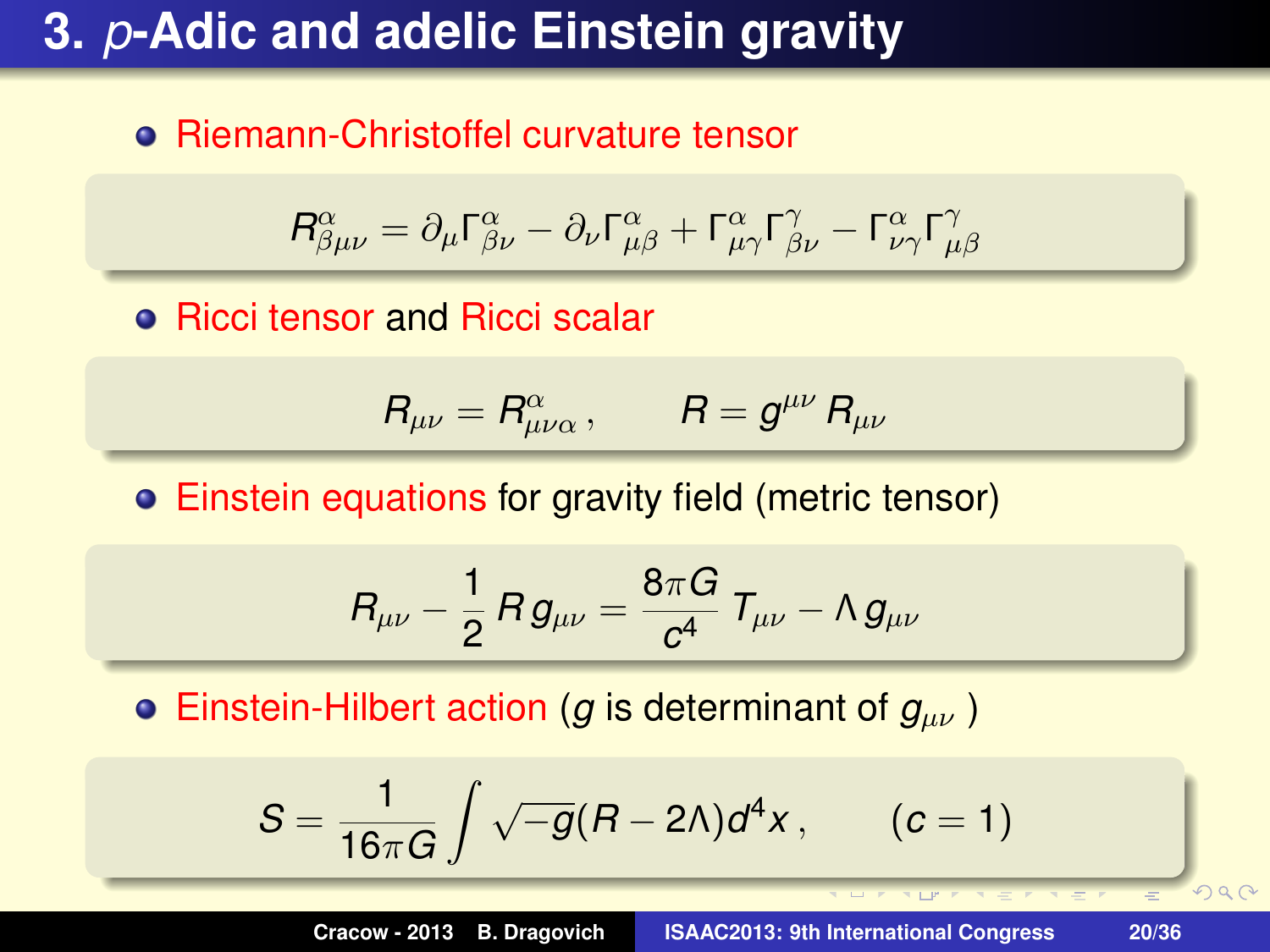#### **• Riemann-Christoffel curvature tensor**

$$
R^{\alpha}_{\beta\mu\nu} = \partial_{\mu}\Gamma^{\alpha}_{\beta\nu} - \partial_{\nu}\Gamma^{\alpha}_{\mu\beta} + \Gamma^{\alpha}_{\mu\gamma}\Gamma^{\gamma}_{\beta\nu} - \Gamma^{\alpha}_{\nu\gamma}\Gamma^{\gamma}_{\mu\beta}
$$

**• Ricci tensor and Ricci scalar** 

$$
R_{\mu\nu}=R^{\alpha}_{\mu\nu\alpha}\,,\qquad R=g^{\mu\nu}\,R_{\mu\nu}
$$

Einstein equations for gravity field (metric tensor)

$$
R_{\mu\nu} - \frac{1}{2} R \, g_{\mu\nu} = \frac{8 \pi G}{c^4} \; T_{\mu\nu} - \Lambda \, g_{\mu\nu}
$$

**Einstein-Hilbert action (***g* is determinant of  $g_{\mu\nu}$ )

$$
S=\frac{1}{16\pi G}\int \sqrt{-g}(R-2\Lambda)d^4x\,,\qquad (c=1)
$$

**Cracow - 2013 B. Dragovich ISAAC2013: 9th International Congress 20/36**

 $2990$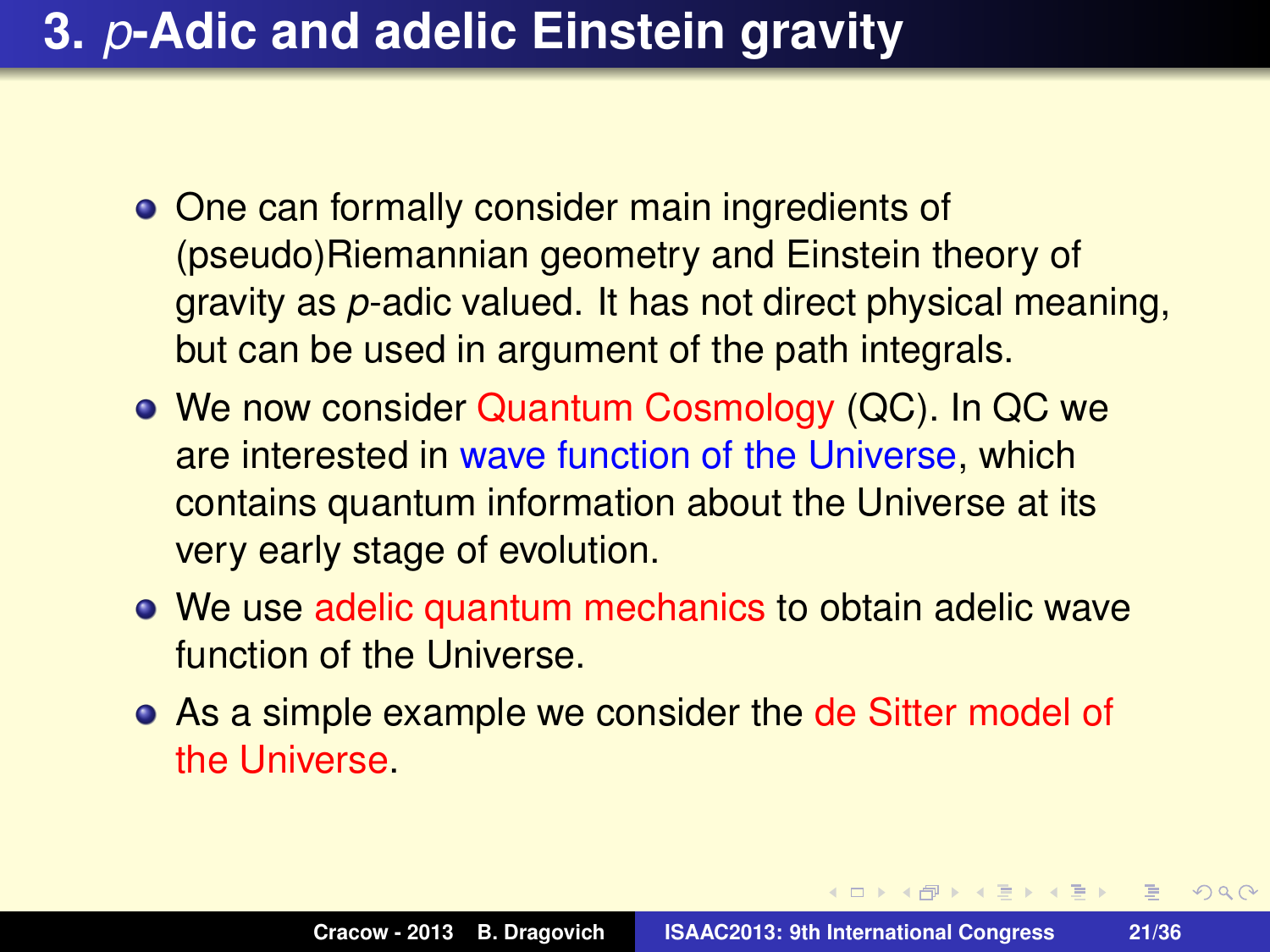- One can formally consider main ingredients of (pseudo)Riemannian geometry and Einstein theory of gravity as *p*-adic valued. It has not direct physical meaning, but can be used in argument of the path integrals.
- We now consider Quantum Cosmology (QC). In QC we are interested in wave function of the Universe, which contains quantum information about the Universe at its very early stage of evolution.
- We use adelic quantum mechanics to obtain adelic wave function of the Universe.
- As a simple example we consider the de Sitter model of the Universe.

 $\mathbf{A} \oplus \mathbf{B}$   $\mathbf{A} \oplus \mathbf{B}$   $\mathbf{A} \oplus \mathbf{B}$ 

 $2QQ$  $\equiv$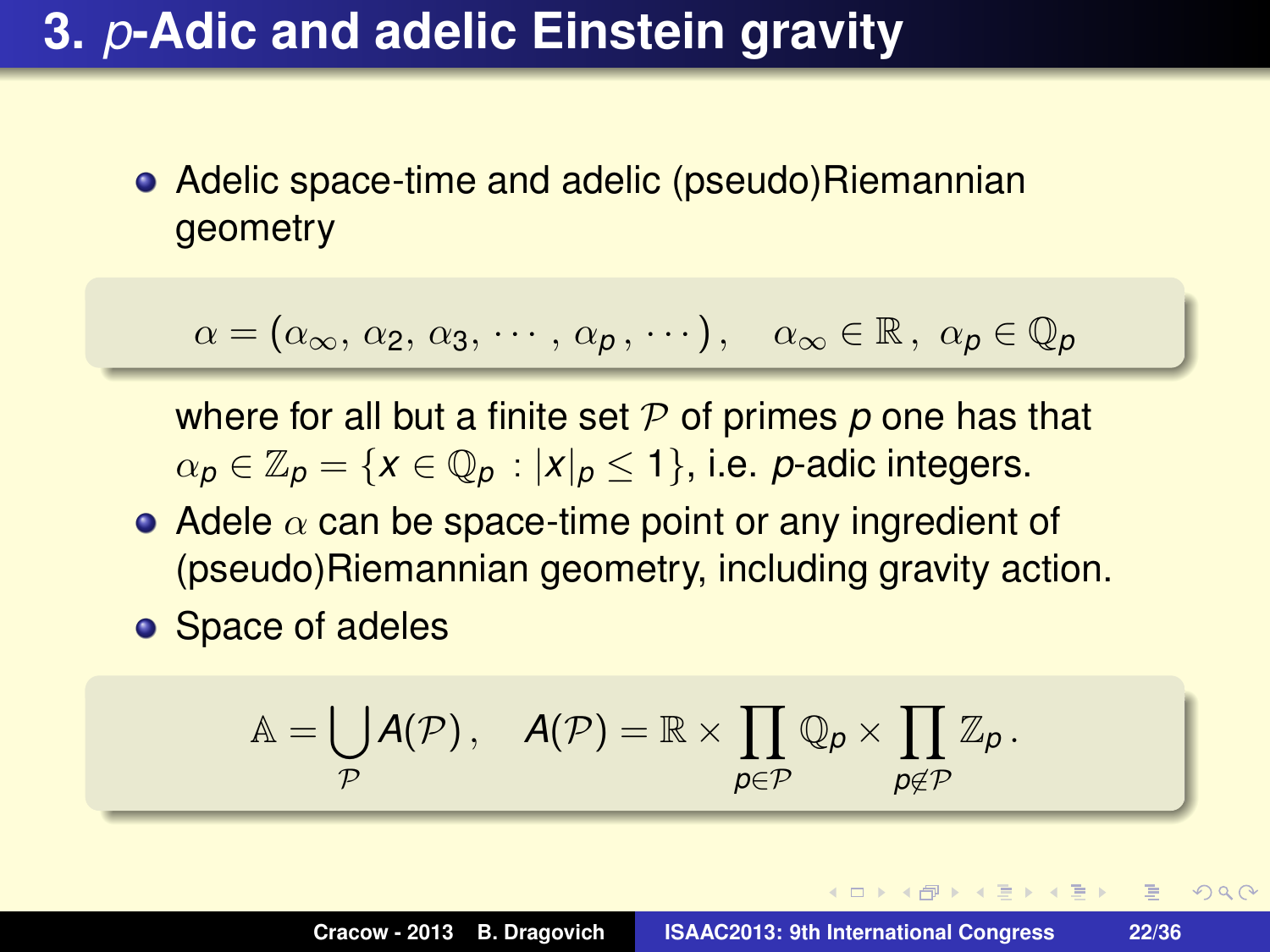Adelic space-time and adelic (pseudo)Riemannian geometry

$$
\alpha = (\alpha_{\infty}, \, \alpha_2, \, \alpha_3, \, \cdots, \, \alpha_p, \, \cdots), \quad \alpha_{\infty} \in \mathbb{R}, \, \alpha_p \in \mathbb{Q}_p
$$

where for all but a finite set P of primes *p* one has that  $\alpha_p \in \mathbb{Z}_p = \{x \in \mathbb{Q}_p : |x|_p \leq 1\}$ , i.e. *p*-adic integers.

- Adele  $\alpha$  can be space-time point or any ingredient of (pseudo)Riemannian geometry, including gravity action.
- **o** Space of adeles

$$
\mathbb{A} = \bigcup_{\mathcal{P}} A(\mathcal{P})\,,\quad A(\mathcal{P}) = \mathbb{R}\times \prod_{\boldsymbol{\rho}\in \mathcal{P}} \mathbb{Q}_{\boldsymbol{\rho}}\times \prod_{\boldsymbol{\rho}\notin \mathcal{P}} \mathbb{Z}_{\boldsymbol{\rho}}\,.
$$

 $QQQ$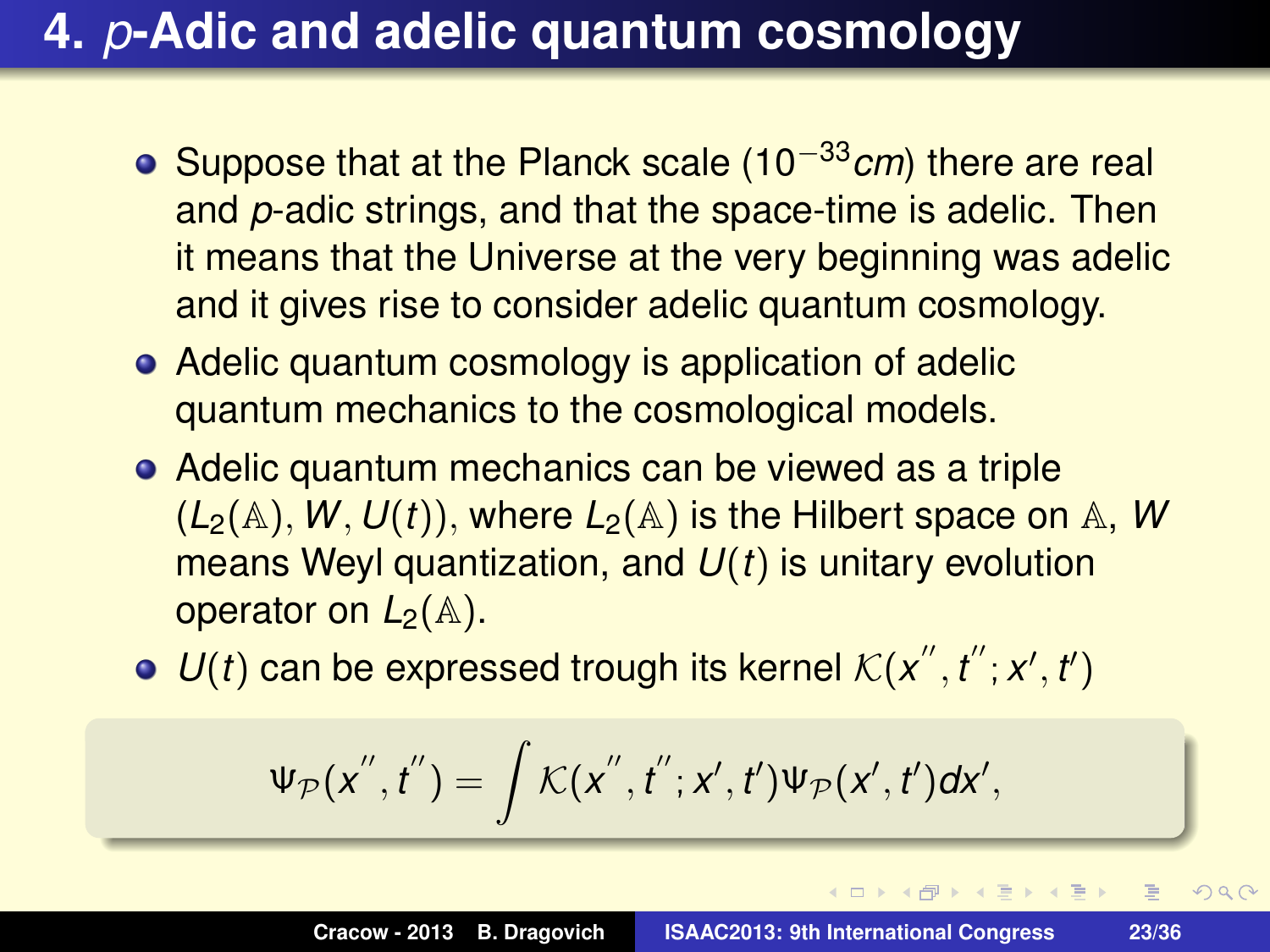- Suppose that at the Planck scale (10−33*cm*) there are real and *p*-adic strings, and that the space-time is adelic. Then it means that the Universe at the very beginning was adelic and it gives rise to consider adelic quantum cosmology.
- Adelic quantum cosmology is application of adelic quantum mechanics to the cosmological models.
- Adelic quantum mechanics can be viewed as a triple  $(L_2(A), W, U(t))$ , where  $L_2(A)$  is the Hilbert space on A, W means Weyl quantization, and *U*(*t*) is unitary evolution operator on  $L_2(\mathbb{A})$ .
- $U(t)$  can be expressed trough its kernel  $K(x'', t''; x', t')$

$$
\Psi_{\mathcal{P}}(x^{''},t^{''})=\int \mathcal{K}(x^{''},t^{''};x',t')\Psi_{\mathcal{P}}(x',t')dx',
$$

 $2Q$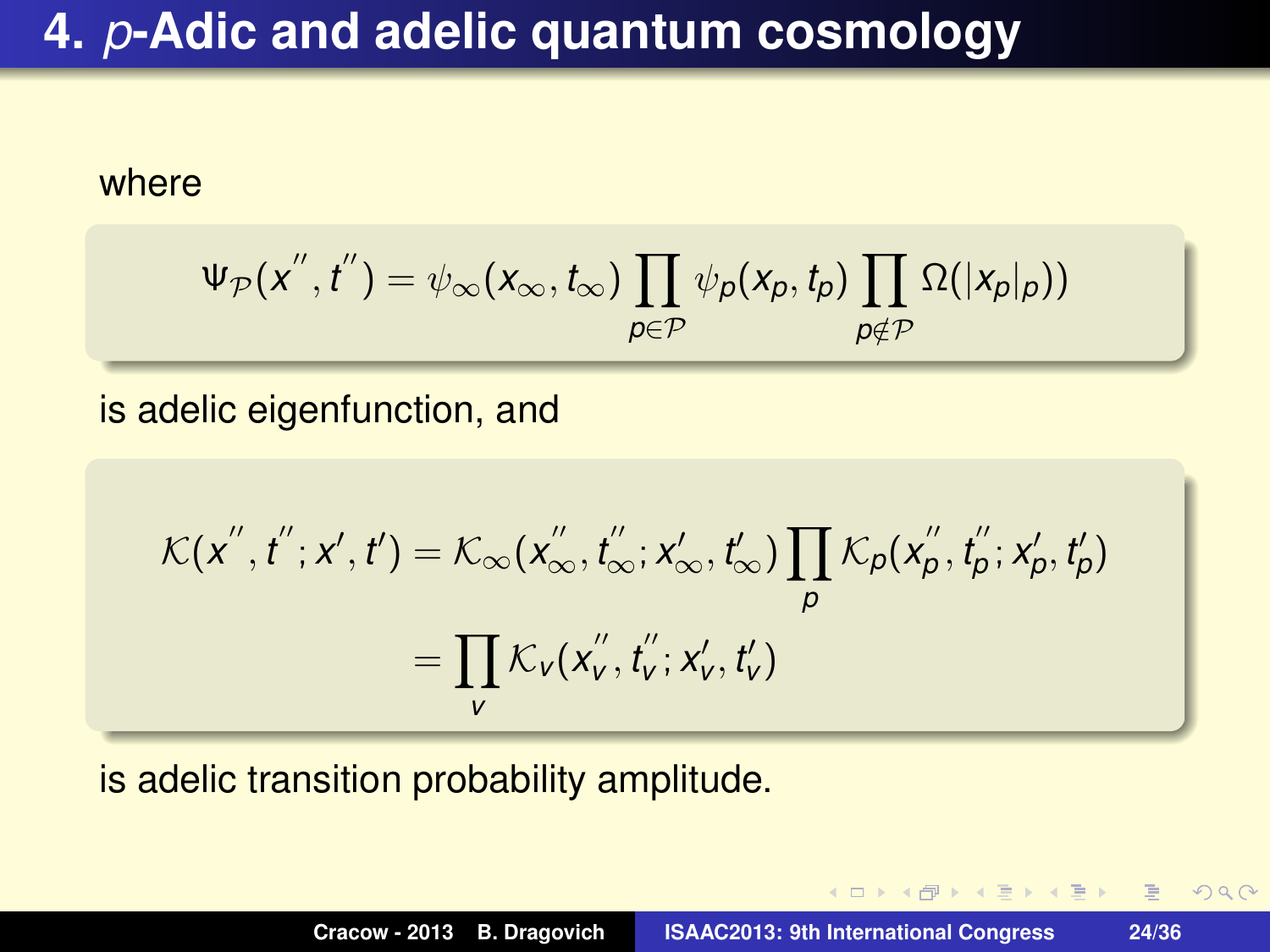#### where

$$
\Psi_{\mathcal{P}}(x^{''},t^{''})=\psi_{\infty}(x_{\infty},t_{\infty})\prod_{p\in\mathcal{P}}\psi_{p}(x_{p},t_{p})\prod_{p\notin\mathcal{P}}\Omega(|x_{p}|_{p}))
$$

is adelic eigenfunction, and

$$
\mathcal{K}(x'',t^{''};x',t') = \mathcal{K}_{\infty}(x''_{\infty},t''_{\infty};x'_{\infty},t'_{\infty}) \prod_{p} \mathcal{K}_{p}(x''_{p},t''_{p};x'_{p},t'_{p})
$$

$$
= \prod_{v} \mathcal{K}_{v}(x''_{v},t''_{v};x'_{v},t'_{v})
$$

is adelic transition probability amplitude.

 $2QQ$ 

重

 $\mathbb{R}^n \times \mathbb{R}^n \xrightarrow{\sim} \mathbb{R}^n$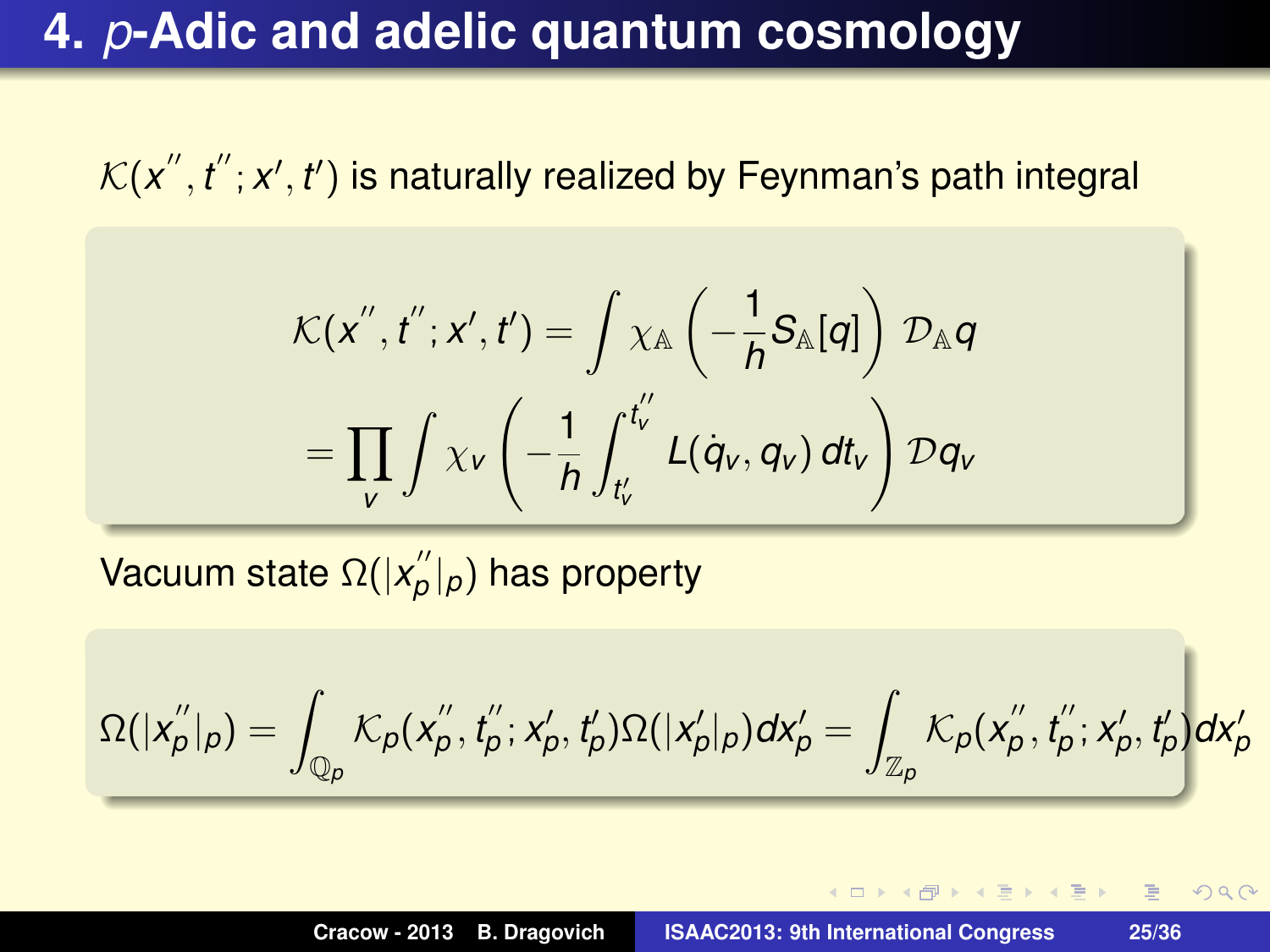$\mathcal{K}(\pmb{x}'', \pmb{t}'; \pmb{x}', \pmb{t}')$  is naturally realized by Feynman's path integral

$$
\mathcal{K}(x'',t'';x',t') = \int \chi_{\mathbb{A}} \left( -\frac{1}{h} S_{\mathbb{A}}[q] \right) \mathcal{D}_{\mathbb{A}} q
$$

$$
= \prod_{v} \int \chi_{v} \left( -\frac{1}{h} \int_{t'_{v}}^{t''_{v}} L(q_{v}, q_{v}) dt_{v} \right) \mathcal{D}q_{v}
$$

Vacuum state Ω(|x" *p* |*p*) has property

$$
\Omega(|x''_p|_p)=\int_{\mathbb{Q}_p}\mathcal{K}_p(x''_p,t''_p;x'_p,t'_p)\Omega(|x'_p|_p)dx'_p=\int_{\mathbb{Z}_p}\mathcal{K}_p(x''_p,t'_p;x'_p,t'_p)dx'_p
$$

⊀ 御 ≯ ∢ 唐 ≯ ∢ 唐 ≯…

重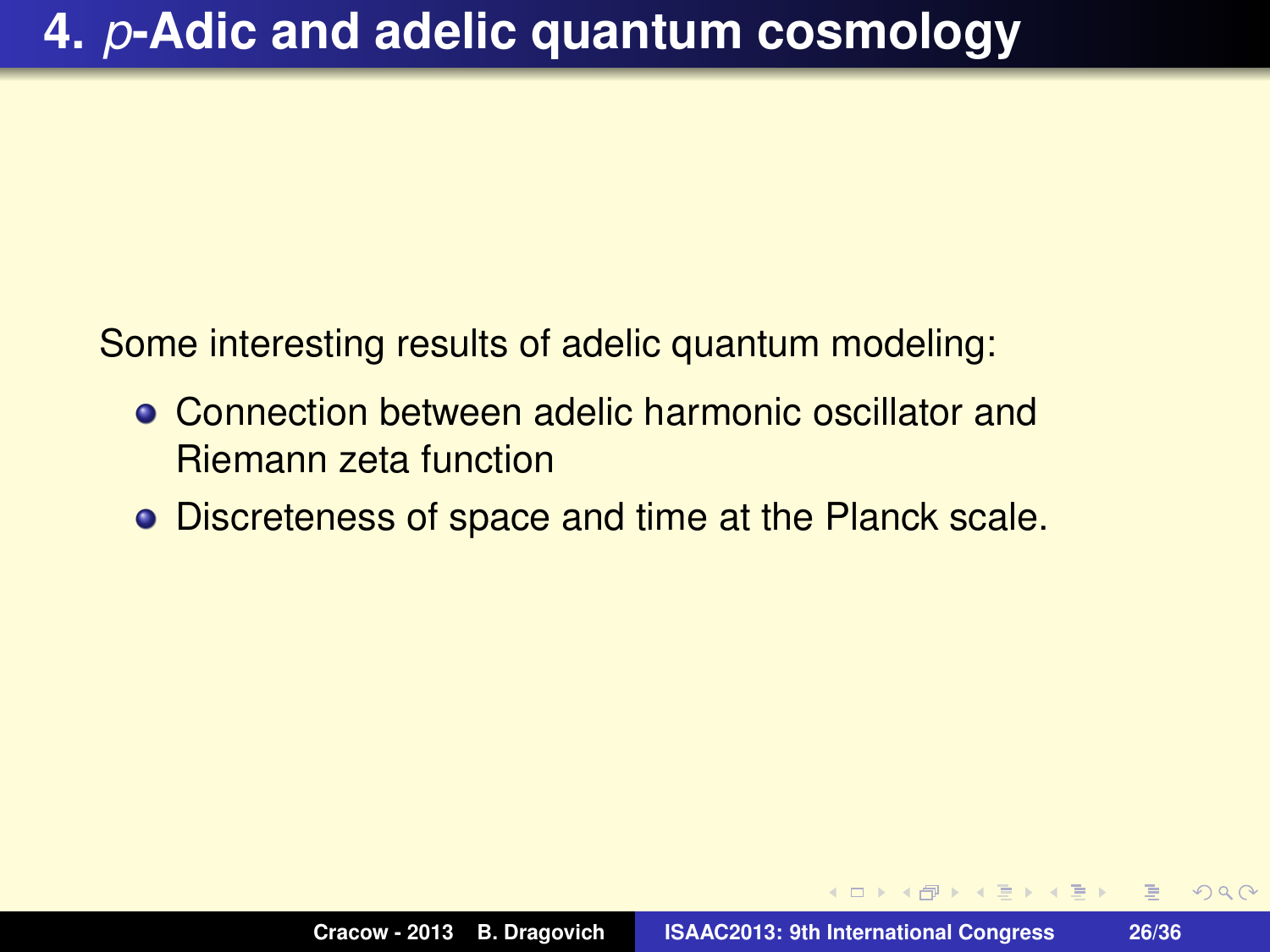Some interesting results of adelic quantum modeling:

- Connection between adelic harmonic oscillator and Riemann zeta function
- Discreteness of space and time at the Planck scale.

 $2QQ$ 

E

ミドイヨド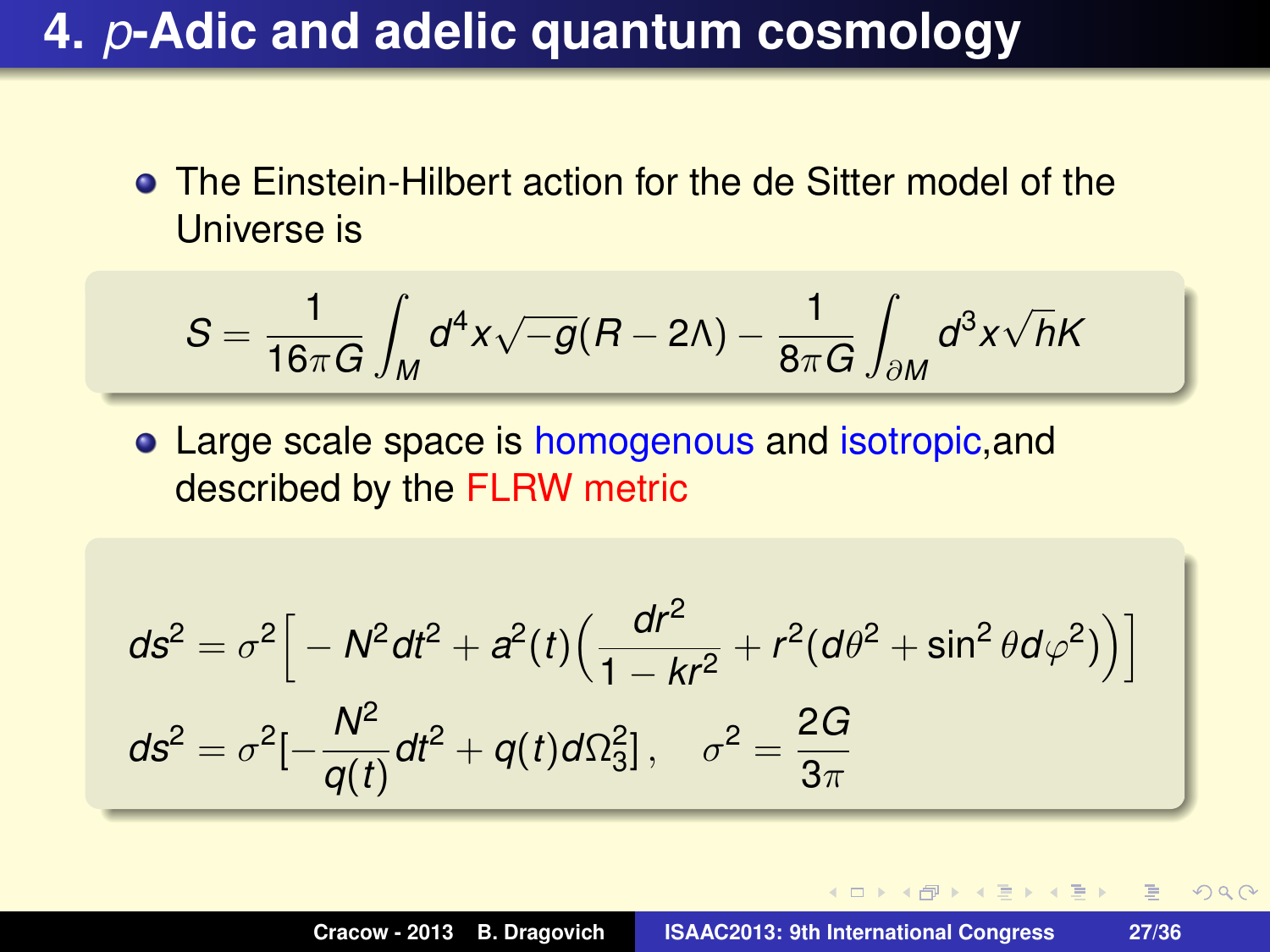The Einstein-Hilbert action for the de Sitter model of the Universe is

$$
S=\frac{1}{16\pi G}\int_M d^4x\sqrt{-g}(R-2\Lambda)-\frac{1}{8\pi G}\int_{\partial M} d^3x\sqrt{h}K
$$

Large scale space is homogenous and isotropic,and described by the FLRW metric

$$
ds^{2} = \sigma^{2} \Big[ -N^{2} dt^{2} + a^{2}(t) \Big( \frac{dr^{2}}{1 - kr^{2}} + r^{2} (d\theta^{2} + \sin^{2} \theta d\varphi^{2}) \Big) \Big]
$$
  

$$
ds^{2} = \sigma^{2} \Big[ -\frac{N^{2}}{q(t)} dt^{2} + q(t) d\Omega_{3}^{2} \Big], \quad \sigma^{2} = \frac{2G}{3\pi}
$$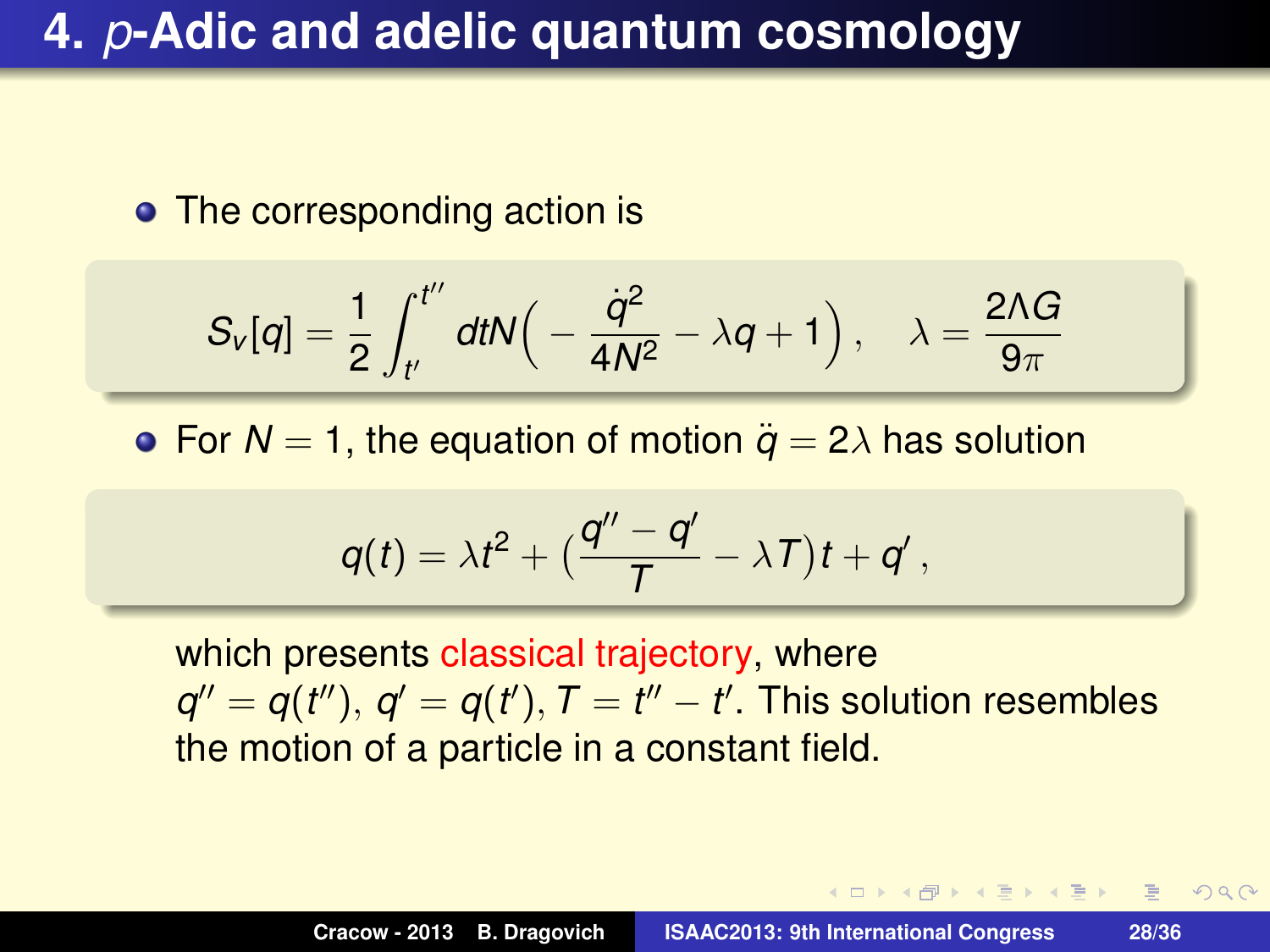#### • The corresponding action is

$$
S_{\nu}[q] = \frac{1}{2} \int_{t'}^{t''} dt N\Big( -\frac{\dot{q}^2}{4N^2} - \lambda q + 1 \Big) \, , \quad \lambda = \frac{2 \Lambda G}{9 \pi}
$$

• For  $N = 1$ , the equation of motion  $\ddot{q} = 2\lambda$  has solution

$$
q(t) = \lambda t^2 + \left(\frac{q''-q'}{T} - \lambda T\right)t + q',
$$

which presents classical trajectory, where  $q'' = q(t'')$ ,  $q' = q(t')$ ,  $T = t'' - t'$ . This solution resembles the motion of a particle in a constant field.

 $\overline{AB}$   $\rightarrow$   $\overline{B}$   $\rightarrow$   $\overline{AB}$   $\rightarrow$ 

 $QQQ$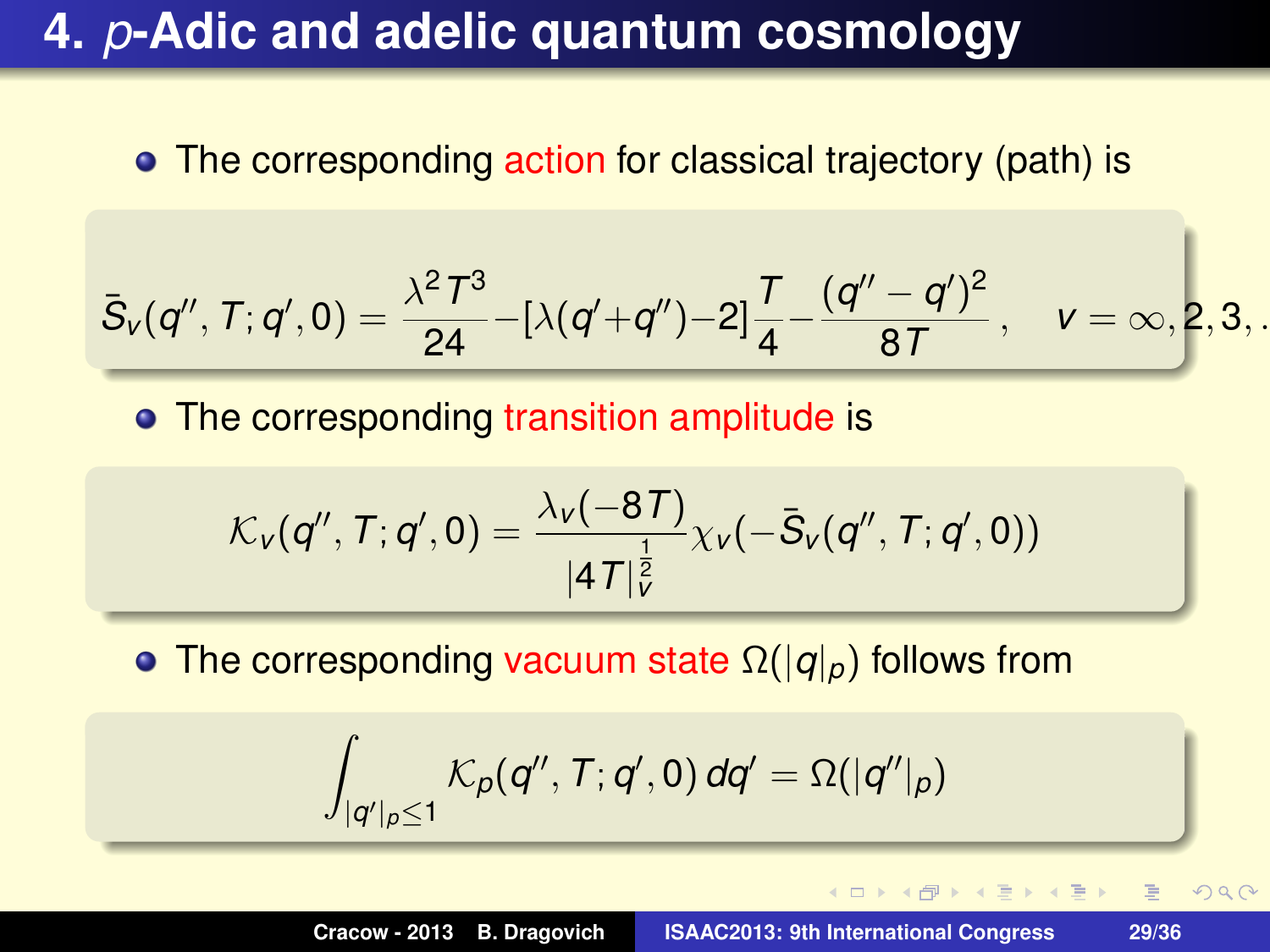• The corresponding action for classical trajectory (path) is

$$
\bar{S}_V(q'',\mathcal{T};q',0)=\frac{\lambda^2\varUpsilon^3}{24}-[\lambda(q'+q'')-2]\frac{\varUpsilon}{4}-\frac{(q''-q')^2}{8\varUpsilon}\,,\quad v=\infty,2,3,.
$$

• The corresponding transition amplitude is

$$
\mathcal{K}_{\nu}(q'', T; q', 0) = \frac{\lambda_{\nu}(-8T)}{|4T|_{\tilde{\nu}}^{\frac{1}{2}}}\chi_{\nu}(-\bar{S}_{\nu}(q'', T; q', 0))
$$

The corresponding vacuum state Ω(|*q*|*p*) follows from

$$
\int_{|q'|_p\leq 1} \mathcal{K}_p(q'',\mathcal{T};q',0)\,dq'=\Omega(|q''|_p)
$$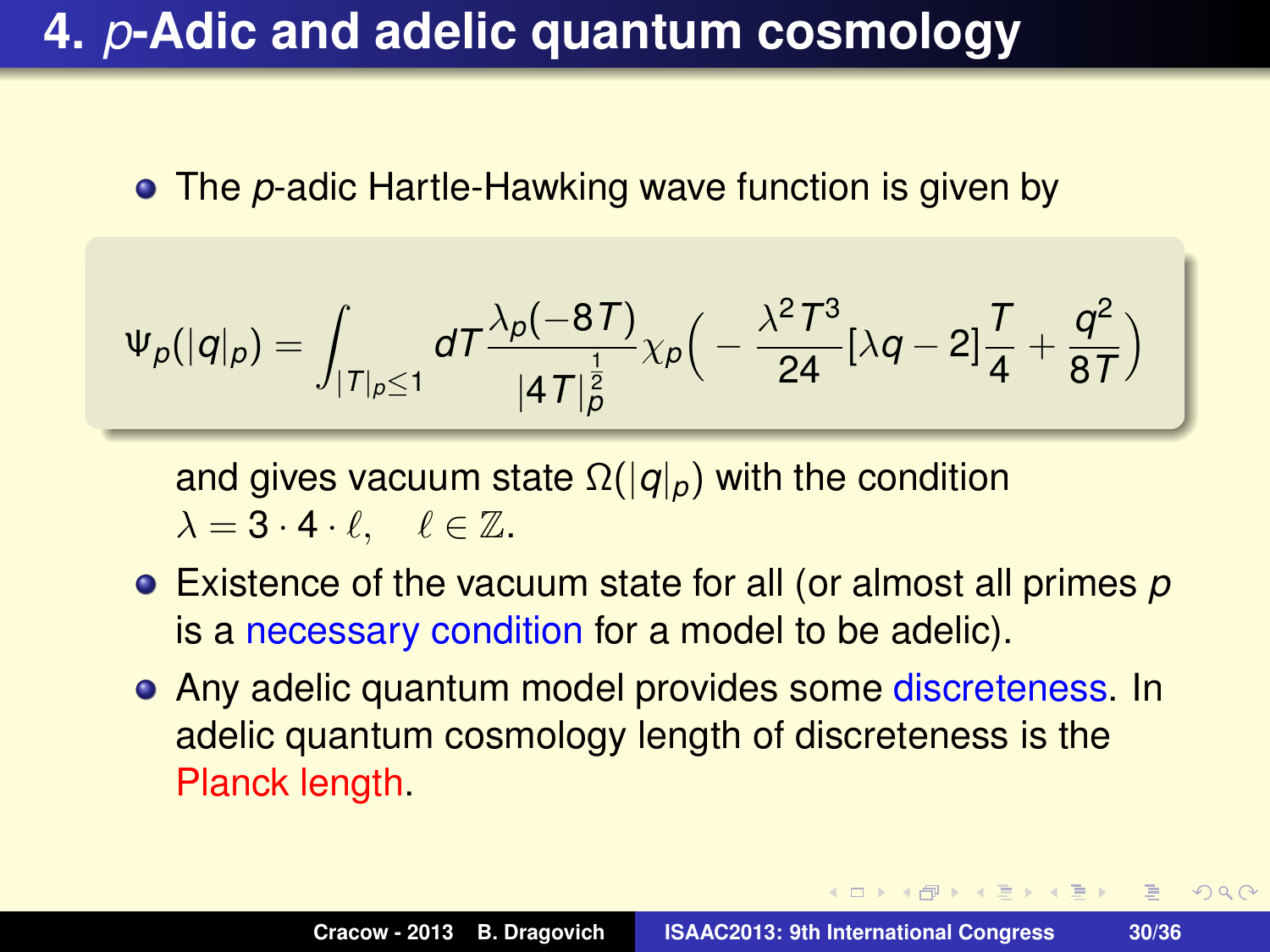The *p*-adic Hartle-Hawking wave function is given by

$$
\Psi_p(|q|_p)=\int_{|T|_p\leq 1}dT\frac{\lambda_p(-8T)}{|4T|_p^{\frac{1}{2}}}\chi_p\Big(-\frac{\lambda^2T^3}{24}[\lambda q-2]\frac{T}{4}+\frac{q^2}{8T}\Big)
$$

and gives vacuum state Ω(|*q*|*p*) with the condition  $\lambda = 3 \cdot 4 \cdot \ell, \quad \ell \in \mathbb{Z}.$ 

- Existence of the vacuum state for all (or almost all primes *p* is a necessary condition for a model to be adelic).
- Any adelic quantum model provides some discreteness. In adelic quantum cosmology length of discreteness is the Planck length.

**K ロ ト K 何 ト K ヨ ト K ヨ ト** 

 $\equiv$  $2QQ$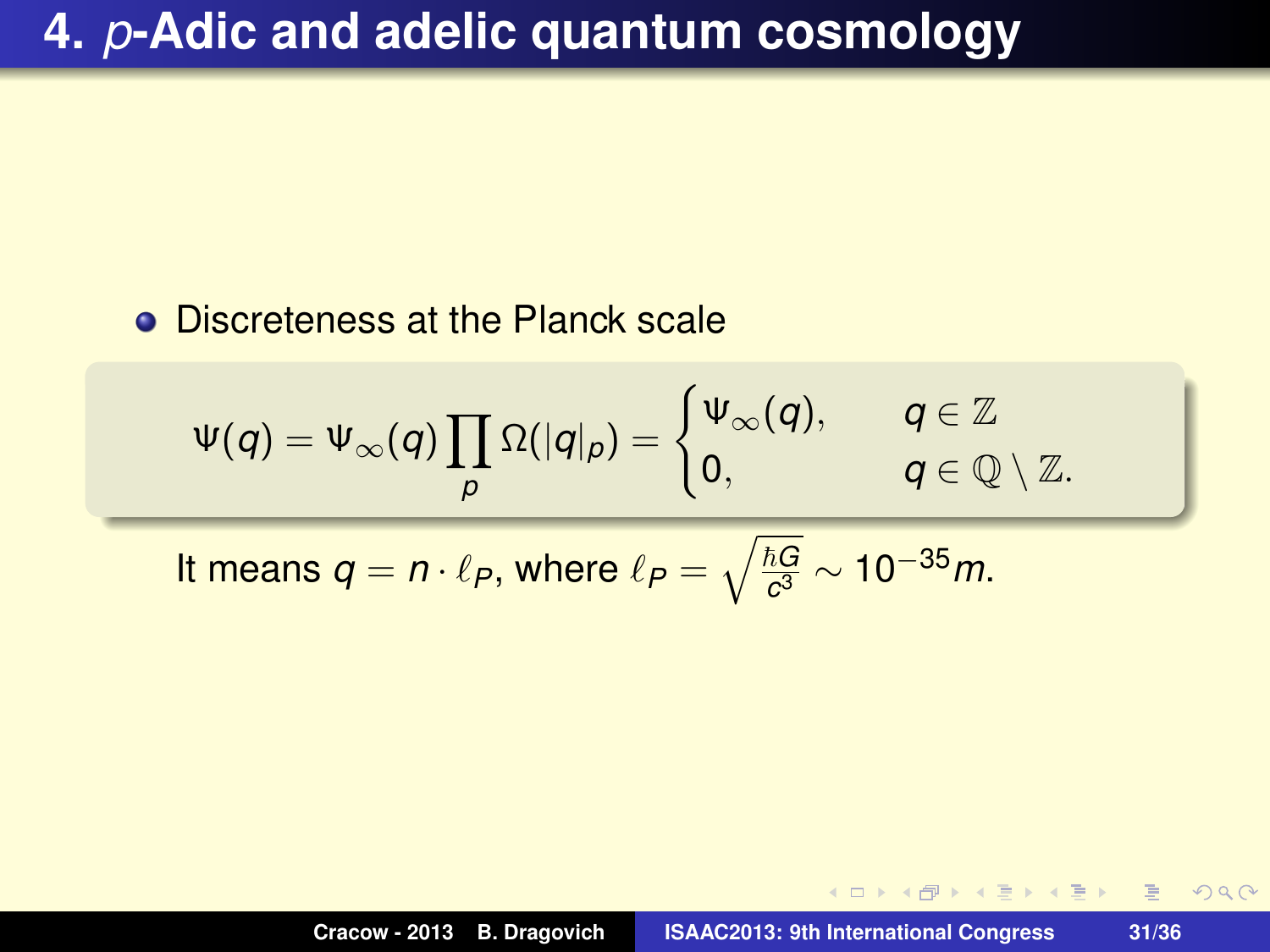#### **• Discreteness at the Planck scale**

$$
\Psi(q) = \Psi_{\infty}(q) \prod_{p} \Omega(|q|_{p}) = \begin{cases} \Psi_{\infty}(q), & q \in \mathbb{Z} \\ 0, & q \in \mathbb{Q} \setminus \mathbb{Z}. \end{cases}
$$

It means  $q = n \cdot \ell_P$ , where  $\ell_P = \sqrt{\frac{\hbar G}{c^3}}$ *c* <sup>3</sup> ∼ 10−35*m*.

→ 高下→ 電下 。

 $2QQ$ 

画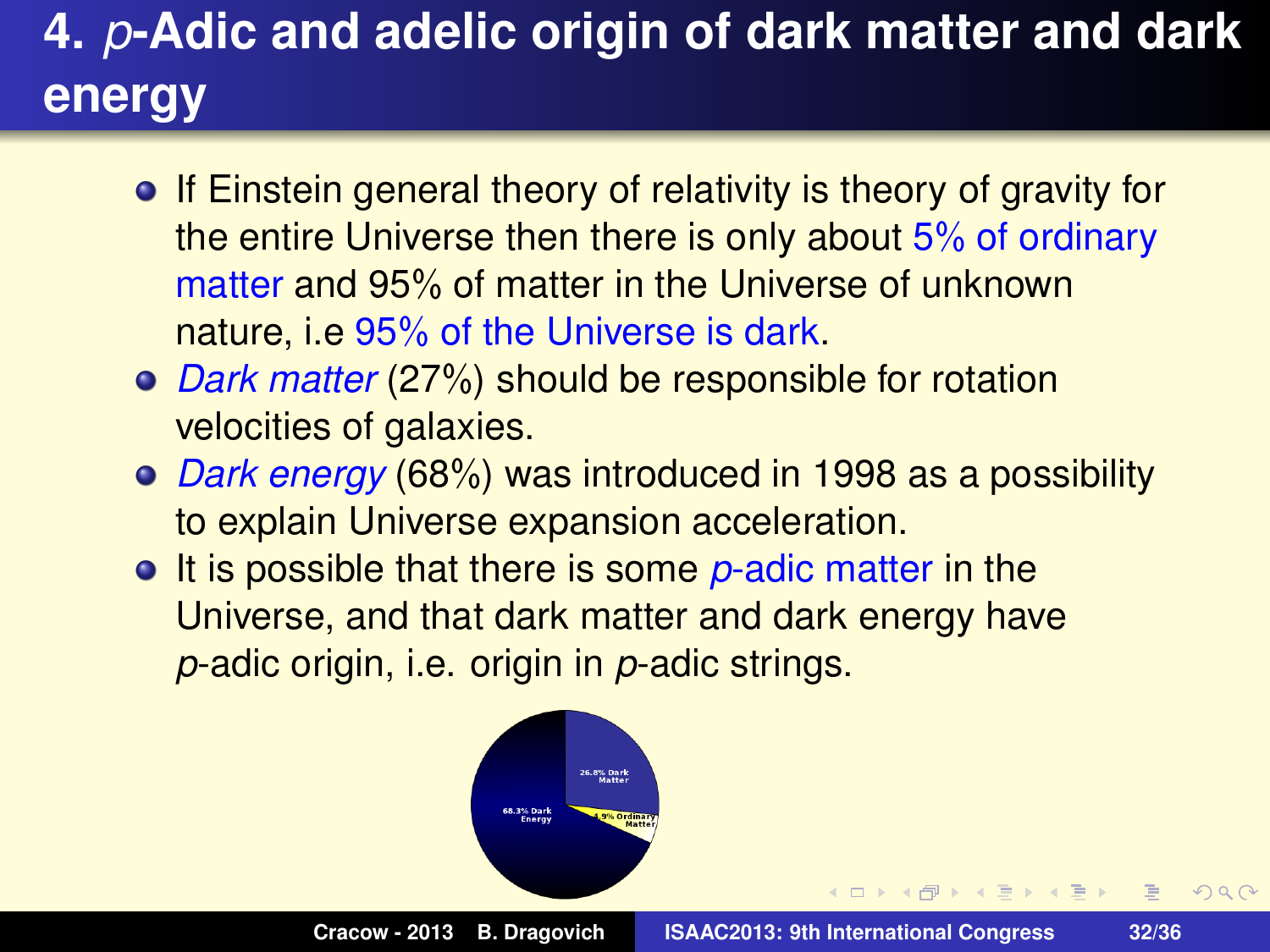# **4.** *p***-Adic and adelic origin of dark matter and dark energy**

- If Einstein general theory of relativity is theory of gravity for the entire Universe then there is only about 5% of ordinary matter and 95% of matter in the Universe of unknown nature, i.e 95% of the Universe is dark.
- *Dark matter* (27%) should be responsible for rotation velocities of galaxies.
- *Dark energy* (68%) was introduced in 1998 as a possibility to explain Universe expansion acceleration.
- **It is possible that there is some p-adic matter in the** Universe, and that dark matter and dark energy have *p*-adic origin, i.e. origin in *p*-adic strings.

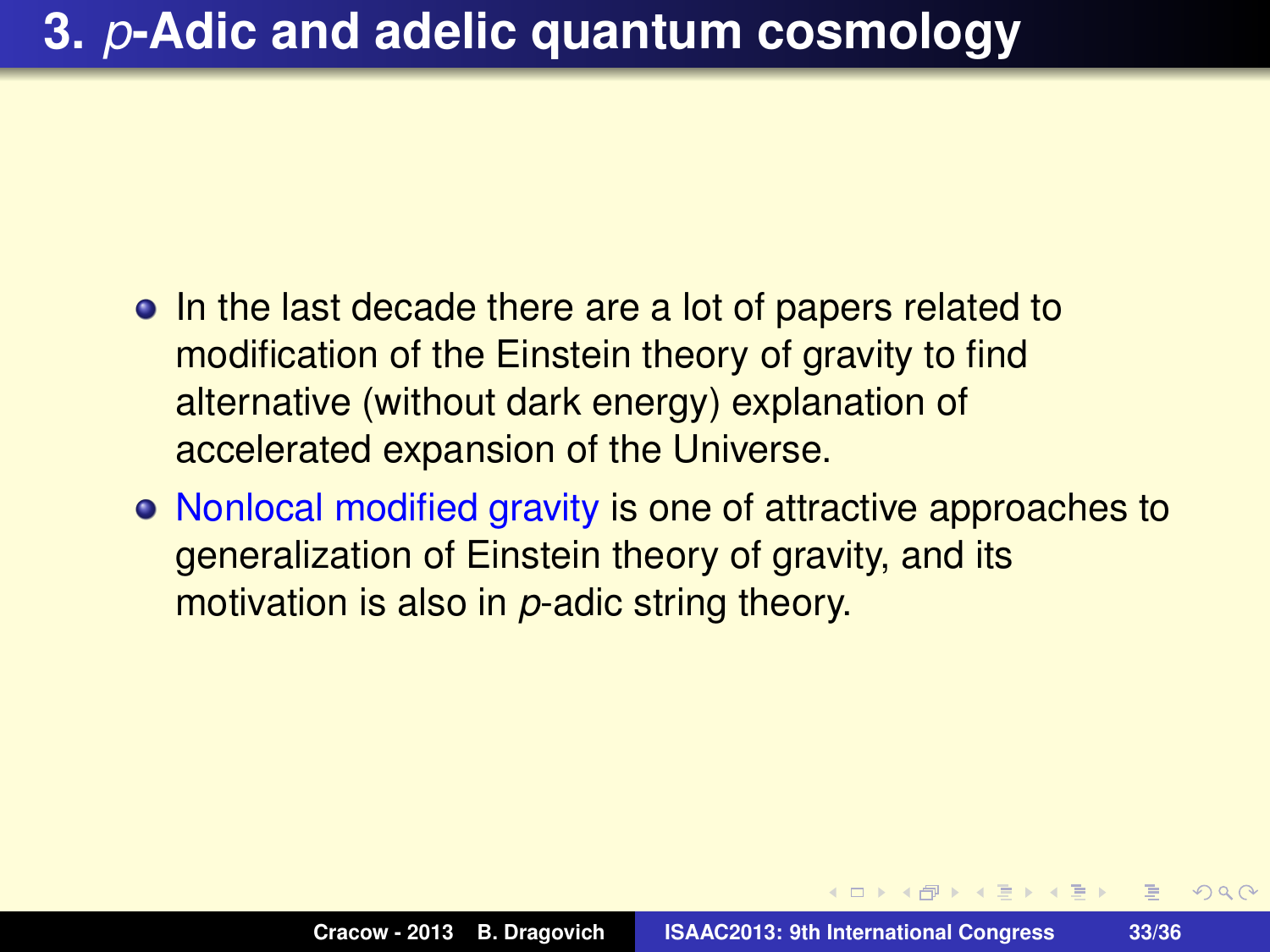- In the last decade there are a lot of papers related to modification of the Einstein theory of gravity to find alternative (without dark energy) explanation of accelerated expansion of the Universe.
- Nonlocal modified gravity is one of attractive approaches to generalization of Einstein theory of gravity, and its motivation is also in *p*-adic string theory.

**ADAMENTA** 

 $\equiv$ 

 $PQQ$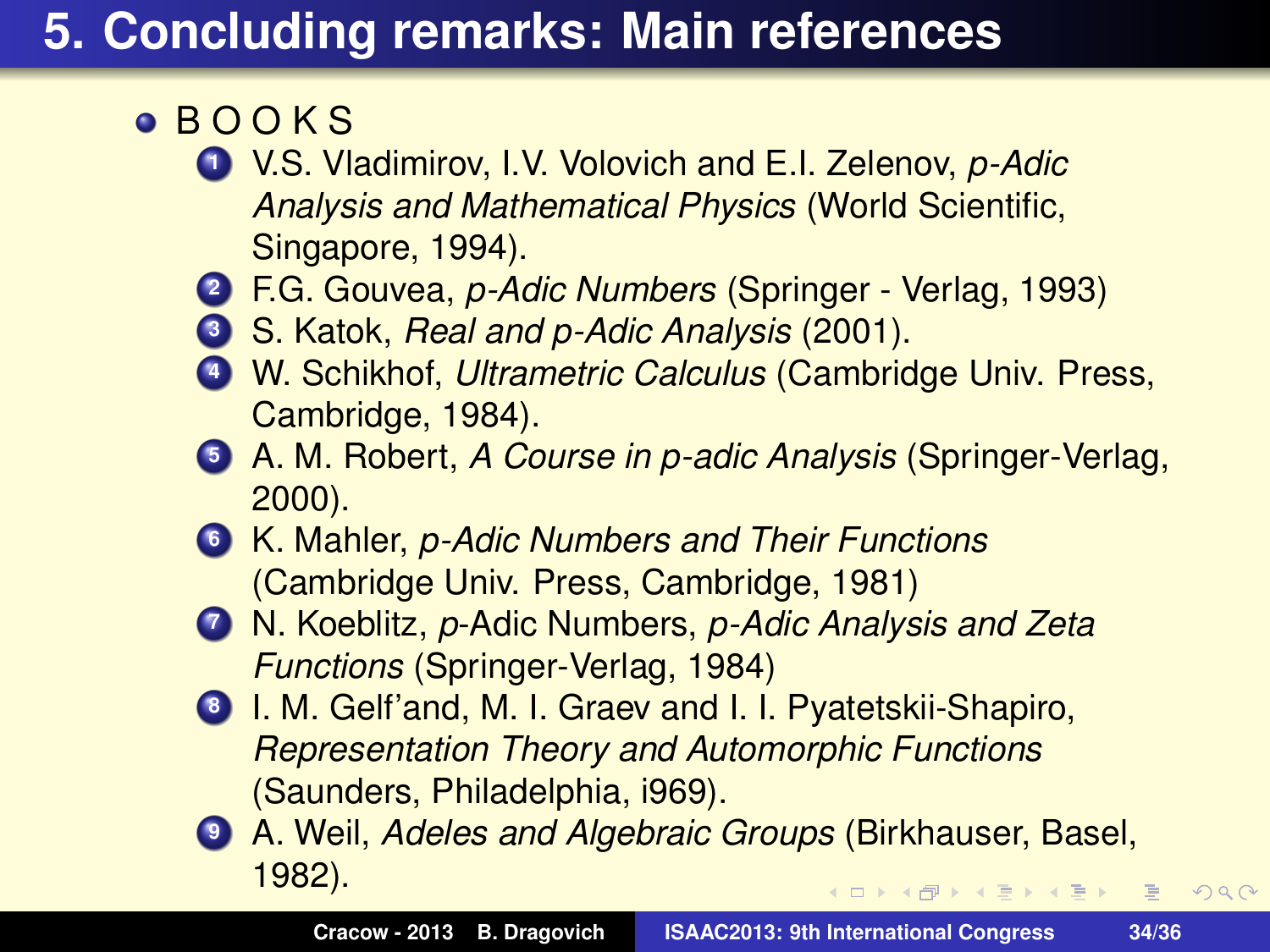## **5. Concluding remarks: Main references**

- B O O K S
	- **<sup>1</sup>** V.S. Vladimirov, I.V. Volovich and E.I. Zelenov, *p-Adic Analysis and Mathematical Physics* (World Scientific, Singapore, 1994).
	- **<sup>2</sup>** F.G. Gouvea, *p-Adic Numbers* (Springer Verlag, 1993)
	- **<sup>3</sup>** S. Katok, *Real and p-Adic Analysis* (2001).
	- **<sup>4</sup>** W. Schikhof, *Ultrametric Calculus* (Cambridge Univ. Press, Cambridge, 1984).
	- **<sup>5</sup>** A. M. Robert, *A Course in p-adic Analysis* (Springer-Verlag, 2000).
	- **<sup>6</sup>** K. Mahler, *p-Adic Numbers and Their Functions* (Cambridge Univ. Press, Cambridge, 1981)
	- **<sup>7</sup>** N. Koeblitz, *p*-Adic Numbers, *p-Adic Analysis and Zeta Functions* (Springer-Verlag, 1984)
	- **<sup>8</sup>** I. M. Gelf'and, M. I. Graev and I. I. Pyatetskii-Shapiro, *Representation Theory and Automorphic Functions* (Saunders, Philadelphia, i969).
	- **<sup>9</sup>** A. Weil, *Adeles and Algebraic Groups* (Birkhauser, Basel, 1982). K 伊 ▶ K 重 ▶ K 重 ▶ → 重 → 約 Q Q →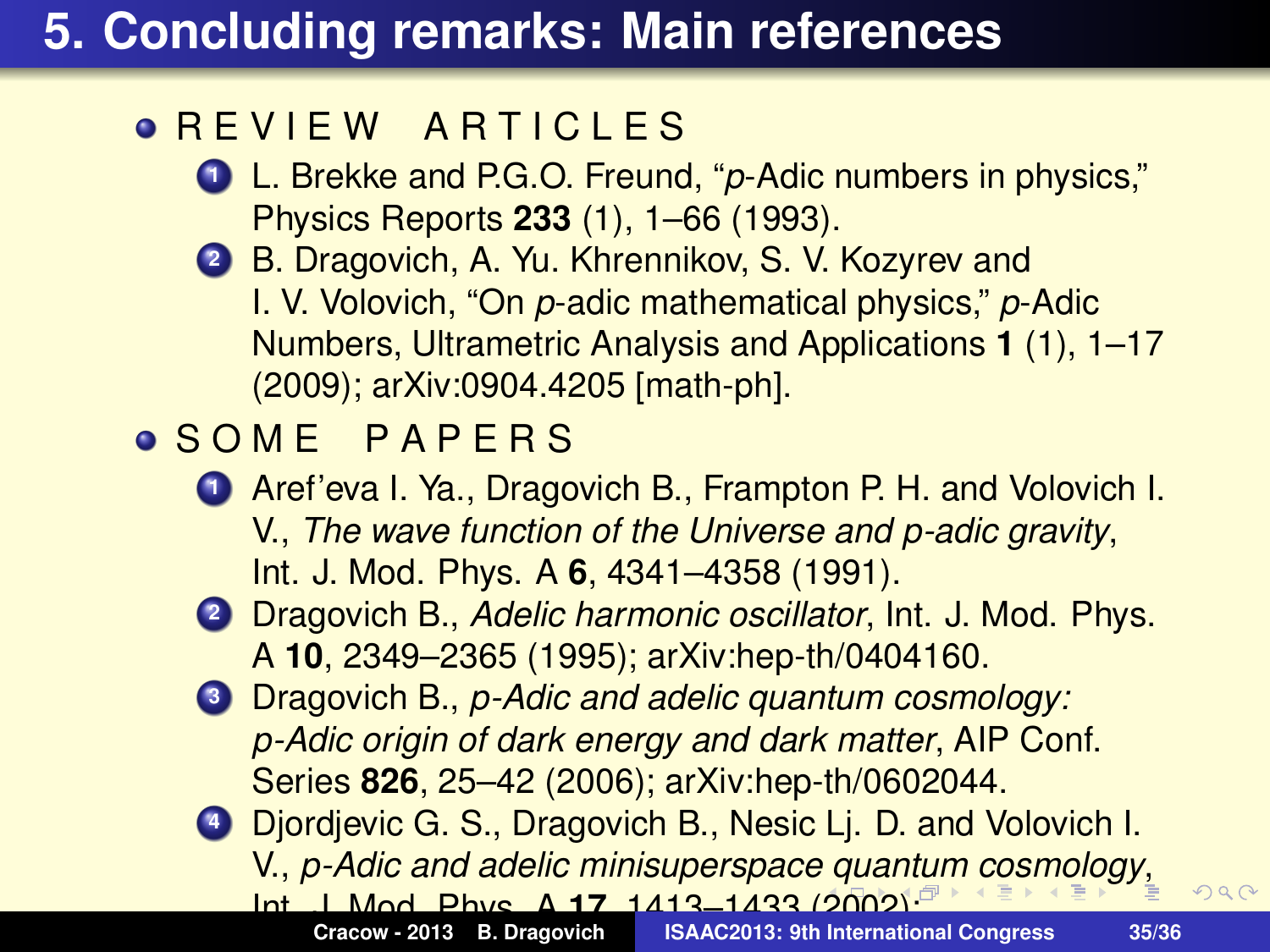## **5. Concluding remarks: Main references**

#### **O REVIEW ARTICLES**

- **<sup>1</sup>** L. Brekke and P.G.O. Freund, "*p*-Adic numbers in physics," Physics Reports **233** (1), 1–66 (1993).
- **<sup>2</sup>** B. Dragovich, A. Yu. Khrennikov, S. V. Kozyrev and I. V. Volovich, "On *p*-adic mathematical physics," *p*-Adic Numbers, Ultrametric Analysis and Applications **1** (1), 1–17 (2009); arXiv:0904.4205 [math-ph].

### S O M E P A P E R S

- **<sup>1</sup>** Aref'eva I. Ya., Dragovich B., Frampton P. H. and Volovich I. V., *The wave function of the Universe and p-adic gravity*, Int. J. Mod. Phys. A **6**, 4341–4358 (1991).
- **<sup>2</sup>** Dragovich B., *Adelic harmonic oscillator*, Int. J. Mod. Phys. A **10**, 2349–2365 (1995); arXiv:hep-th/0404160.
- **<sup>3</sup>** Dragovich B., *p-Adic and adelic quantum cosmology: p-Adic origin of dark energy and dark matter*, AIP Conf. Series **826**, 25–42 (2006); arXiv:hep-th/0602044.
- **<sup>4</sup>** Djordjevic G. S., Dragovich B., Nesic Lj. D. and Volovich I. V., *p-Adic and adelic minisuperspace quantum cosmology*, Int. J. Mod. Phys. A **17**, 1413–1433 (2002);

**ISAAC2013: 9th International Congress 35/36**